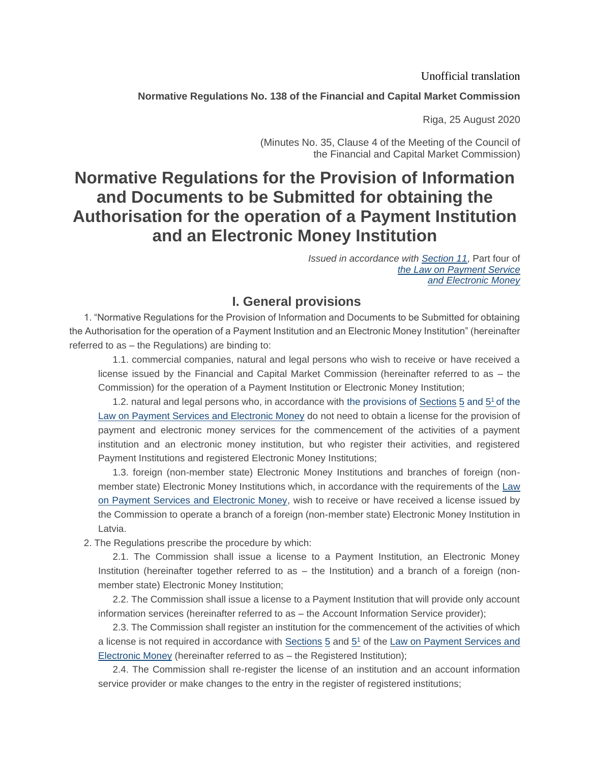#### Unofficial translation

### **Normative Regulations No. 138 of the Financial and Capital Market Commission**

Riga, 25 August 2020

(Minutes No. 35, Clause 4 of the Meeting of the Council of the Financial and Capital Market Commission)

# **Normative Regulations for the Provision of Information and Documents to be Submitted for obtaining the Authorisation for the operation of a Payment Institution and an Electronic Money Institution**

*Issued in accordance with [Section 11](https://m.likumi.lv/ta/id/206634-maksajumu-pakalpojumu-un-elektroniskas-naudas-likums)*, Part four o[f](https://m.likumi.lv/ta/id/206634-maksajumu-pakalpojumu-un-elektroniskas-naudas-likums) *[the Law on Payment Service](https://m.likumi.lv/ta/id/206634-maksajumu-pakalpojumu-un-elektroniskas-naudas-likums) [and Electronic Money](https://m.likumi.lv/ta/id/206634-maksajumu-pakalpojumu-un-elektroniskas-naudas-likums#p11)*

## **I. General provisions**

1. "Normative Regulations for the Provision of Information and Documents to be Submitted for obtaining the Authorisation for the operation of a Payment Institution and an Electronic Money Institution" (hereinafter referred to as – the Regulations) are binding to:

1.1. commercial companies, natural and legal persons who wish to receive or have received a license issued by the Financial and Capital Market Commission (hereinafter referred to as – the Commission) for the operation of a Payment Institution or Electronic Money Institution;

1.2. natural and legal persons who, in accordance with [the provisions of Sections](https://m.likumi.lv/ta/id/206634-maksajumu-pakalpojumu-un-elektroniskas-naudas-likums) [5](https://m.likumi.lv/ta/id/206634-maksajumu-pakalpojumu-un-elektroniskas-naudas-likums) and 5<sup>1</sup> of the [Law on Payment Services and Electronic Money](https://m.likumi.lv/ta/id/206634-maksajumu-pakalpojumu-un-elektroniskas-naudas-likums) do not need to obtain a license for the provision of payment and electronic money services for the commencement of the activities of a payment institution and an electronic money institution, but who register their activities, and registered Payment Institutions and registered Electronic Money Institutions;

1.3. foreign (non-member state) Electronic Money Institutions and branches of foreign (nonmember state) Electronic Money Institutions which, in accordance with the requirements of the Law [on Payment Services and Electronic Money,](https://m.likumi.lv/ta/id/206634-maksajumu-pakalpojumu-un-elektroniskas-naudas-likums) wish to receive or have received a license issued by the Commission to operate a branch of a foreign (non-member state) Electronic Money Institution in Latvia.

2. The Regulations prescribe the procedure by which:

2.1. The Commission shall issue a license to a Payment Institution, an Electronic Money Institution (hereinafter together referred to as – the Institution) and a branch of a foreign (nonmember state) Electronic Money Institution;

2.2. The Commission shall issue a license to a Payment Institution that will provide only account information services (hereinafter referred to as – the Account Information Service provider);

2.3. The Commission shall register an institution for the commencement of the activities of which a license is not required in accordance with **Sections [5](https://m.likumi.lv/ta/id/206634-maksajumu-pakalpojumu-un-elektroniskas-naudas-likums#p5)** and [5](https://m.likumi.lv/ta/id/206634-maksajumu-pakalpojumu-un-elektroniskas-naudas-likums#p5_1)<sup>1</sup> of the Law on Payment Services and [Electronic Money](https://m.likumi.lv/ta/id/206634-maksajumu-pakalpojumu-un-elektroniskas-naudas-likums) (hereinafter referred to as – the Registered Institution);

2.4. The Commission shall re-register the license of an institution and an account information service provider or make changes to the entry in the register of registered institutions;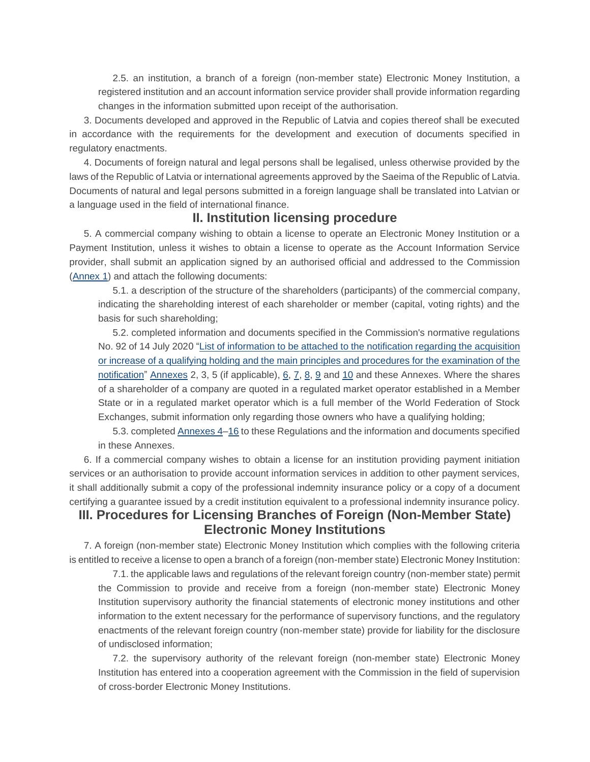2.5. an institution, a branch of a foreign (non-member state) Electronic Money Institution, a registered institution and an account information service provider shall provide information regarding changes in the information submitted upon receipt of the authorisation.

3. Documents developed and approved in the Republic of Latvia and copies thereof shall be executed in accordance with the requirements for the development and execution of documents specified in regulatory enactments.

4. Documents of foreign natural and legal persons shall be legalised, unless otherwise provided by the laws of the Republic of Latvia or international agreements approved by the Saeima of the Republic of Latvia. Documents of natural and legal persons submitted in a foreign language shall be translated into Latvian or a language used in the field of international finance.

## **II. Institution licensing procedure**

5. A commercial company wishing to obtain a license to operate an Electronic Money Institution or a Payment Institution, unless it wishes to obtain a license to operate as the Account Information Service provider, shall submit an application signed by an authorised official and addressed to the Commission [\(Annex 1\)](https://m.likumi.lv/ta/id/317099#piel1) and attach the following documents:

5.1. a description of the structure of the shareholders (participants) of the commercial company, indicating the shareholding interest of each shareholder or member (capital, voting rights) and the basis for such shareholding;

5.2. completed information and documents specified in the Commission's normative regulations No. 92 of 14 July 2020 ["List of information to be attached to the notification regarding the acquisition](https://m.likumi.lv/ta/id/316224-pazinojumam-par-butiskas-lidzdalibas-iegusanu-vai-palielinasanu-pievienojamas-informacijas-saraksts-un-pazinojuma-izskatisanas-...)  [or increase of a qualifying holding and the main principles and procedures for the examination of the](https://m.likumi.lv/ta/id/316224-pazinojumam-par-butiskas-lidzdalibas-iegusanu-vai-palielinasanu-pievienojamas-informacijas-saraksts-un-pazinojuma-izskatisanas-...)  [notification"](https://m.likumi.lv/ta/id/316224-pazinojumam-par-butiskas-lidzdalibas-iegusanu-vai-palielinasanu-pievienojamas-informacijas-saraksts-un-pazinojuma-izskatisanas-...) Annexes 2, 3, 5 (if applicable),  $6, 7, 8, 9$  $6, 7, 8, 9$  $6, 7, 8, 9$  $6, 7, 8, 9$  and  $10$  and these Annexes. Where the shares of a shareholder of a company are quoted in a regulated market operator established in a Member State or in a regulated market operator which is a full member of the World Federation of Stock Exchanges, submit information only regarding those owners who have a qualifying holding;

5.3. completed Annexes [4–](https://m.likumi.lv/ta/id/317099#piel4)[16](https://m.likumi.lv/ta/id/317099#piel16) to these Regulations and the information and documents specified in these Annexes.

6. If a commercial company wishes to obtain a license for an institution providing payment initiation services or an authorisation to provide account information services in addition to other payment services, it shall additionally submit a copy of the professional indemnity insurance policy or a copy of a document certifying a guarantee issued by a credit institution equivalent to a professional indemnity insurance policy.

## **III. Procedures for Licensing Branches of Foreign (Non-Member State) Electronic Money Institutions**

7. A foreign (non-member state) Electronic Money Institution which complies with the following criteria is entitled to receive a license to open a branch of a foreign (non-member state) Electronic Money Institution:

7.1. the applicable laws and regulations of the relevant foreign country (non-member state) permit the Commission to provide and receive from a foreign (non-member state) Electronic Money Institution supervisory authority the financial statements of electronic money institutions and other information to the extent necessary for the performance of supervisory functions, and the regulatory enactments of the relevant foreign country (non-member state) provide for liability for the disclosure of undisclosed information;

7.2. the supervisory authority of the relevant foreign (non-member state) Electronic Money Institution has entered into a cooperation agreement with the Commission in the field of supervision of cross-border Electronic Money Institutions.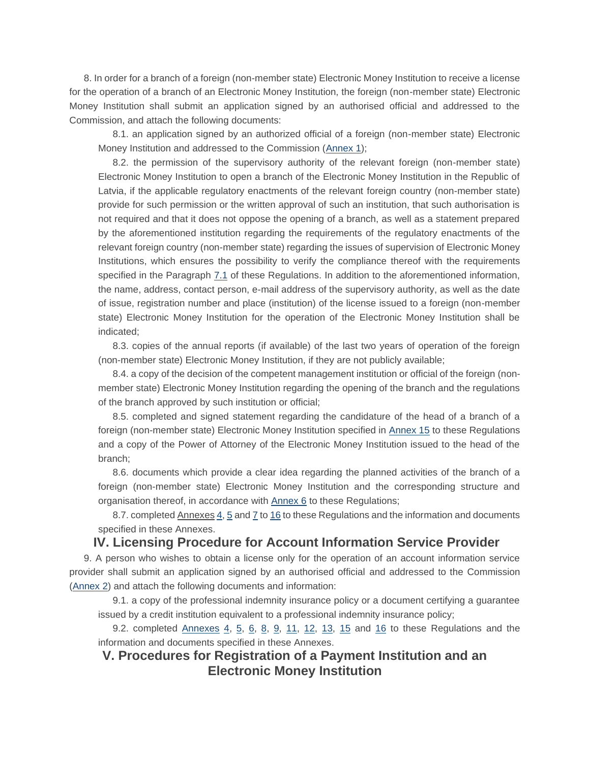8. In order for a branch of a foreign (non-member state) Electronic Money Institution to receive a license for the operation of a branch of an Electronic Money Institution, the foreign (non-member state) Electronic Money Institution shall submit an application signed by an authorised official and addressed to the Commission, and attach the following documents:

8.1. an application signed by an authorized official of a foreign (non-member state) Electronic Money Institution and addressed to the Commission [\(Annex 1\)](https://m.likumi.lv/ta/id/317099#piel1);

8.2. the permission of the supervisory authority of the relevant foreign (non-member state) Electronic Money Institution to open a branch of the Electronic Money Institution in the Republic of Latvia, if the applicable regulatory enactments of the relevant foreign country (non-member state) provide for such permission or the written approval of such an institution, that such authorisation is not required and that it does not oppose the opening of a branch, as well as a statement prepared by the aforementioned institution regarding the requirements of the regulatory enactments of the relevant foreign country (non-member state) regarding the issues of supervision of Electronic Money Institutions, which ensures the possibility to verify the compliance thereof with the requirements specified in the Paragraph [7.1](https://m.likumi.lv/ta/id/317099#p7.1) of these Regulations. In addition to the aforementioned information, the name, address, contact person, e-mail address of the supervisory authority, as well as the date of issue, registration number and place (institution) of the license issued to a foreign (non-member state) Electronic Money Institution for the operation of the Electronic Money Institution shall be indicated;

8.3. copies of the annual reports (if available) of the last two years of operation of the foreign (non-member state) Electronic Money Institution, if they are not publicly available;

8.4. a copy of the decision of the competent management institution or official of the foreign (nonmember state) Electronic Money Institution regarding the opening of the branch and the regulations of the branch approved by such institution or official;

8.5. completed and signed statement regarding the candidature of the head of a branch of a foreign (non-member state) Electronic Money Institution specified in [Annex 15](https://m.likumi.lv/ta/id/317099#piel15) to these Regulations and a copy of the Power of Attorney of the Electronic Money Institution issued to the head of the branch;

8.6. documents which provide a clear idea regarding the planned activities of the branch of a foreign (non-member state) Electronic Money Institution and the corresponding structure and organisation thereof, in accordance with [Annex 6](https://m.likumi.lv/ta/id/317099#piel6) to these Regulations;

8.7. completed Annexes [4,](https://m.likumi.lv/ta/id/317099#piel4) [5](https://m.likumi.lv/ta/id/317099#piel5) and [7](https://m.likumi.lv/ta/id/317099#piel7) t[o 16](https://m.likumi.lv/ta/id/317099#piel16) to these Regulations and the information and documents specified in these Annexes.

### **IV. Licensing Procedure for Account Information Service Provider**

9. A person who wishes to obtain a license only for the operation of an account information service provider shall submit an application signed by an authorised official and addressed to the Commission [\(Annex 2\)](https://m.likumi.lv/ta/id/317099#piel2) and attach the following documents and information:

9.1. a copy of the professional indemnity insurance policy or a document certifying a guarantee issued by a credit institution equivalent to a professional indemnity insurance policy;

9.2. completed  $\Delta$ nnexes  $4, 5, 6, 8, 9, 11, 12, 13, 15$  $4, 5, 6, 8, 9, 11, 12, 13, 15$  $4, 5, 6, 8, 9, 11, 12, 13, 15$  $4, 5, 6, 8, 9, 11, 12, 13, 15$  $4, 5, 6, 8, 9, 11, 12, 13, 15$  $4, 5, 6, 8, 9, 11, 12, 13, 15$  $4, 5, 6, 8, 9, 11, 12, 13, 15$  $4, 5, 6, 8, 9, 11, 12, 13, 15$  $4, 5, 6, 8, 9, 11, 12, 13, 15$  and [16](https://m.likumi.lv/ta/id/317099#piel16) to these Regulations and the information and documents specified in these Annexes.

## **V. Procedures for Registration of a Payment Institution and an Electronic Money Institution**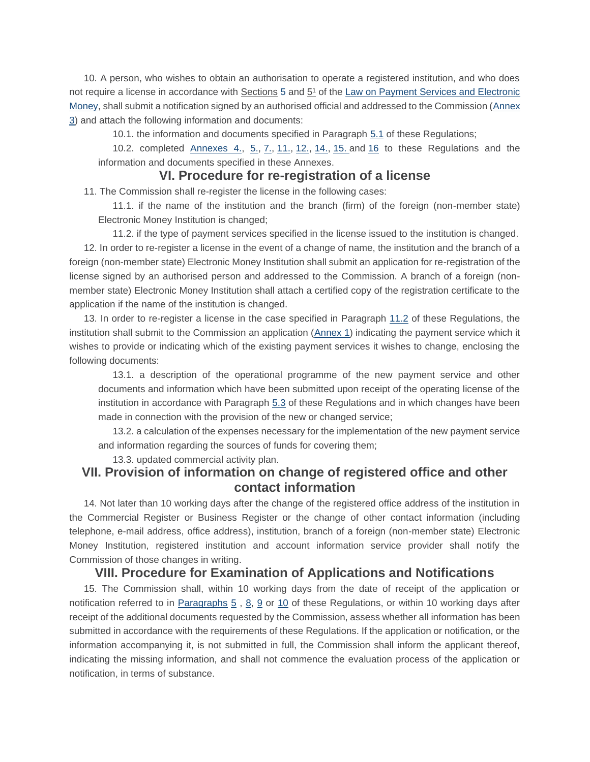10. A person, who wishes to obtain an authorisation to operate a registered institution, and who does not require a license in accordance with Sections [5](https://m.likumi.lv/ta/id/206634-maksajumu-pakalpojumu-un-elektroniskas-naudas-likums#p5) and  $5<sup>1</sup>$  of the Law on Payment Services and Electronic [Money,](https://m.likumi.lv/ta/id/206634-maksajumu-pakalpojumu-un-elektroniskas-naudas-likums) shall submit a notification signed by an authorised official and addressed to the Commission (Annex [3\)](https://m.likumi.lv/ta/id/317099#piel3) and attach the following information and documents:

10.1. the information and documents specified in Paragraph [5.1](https://m.likumi.lv/ta/id/317099#p5.1) of these Regulations;

10.2. completed [Annexes 4.,](https://m.likumi.lv/ta/id/317099#piel4) [5.,](https://m.likumi.lv/ta/id/317099#piel5) [7.,](https://m.likumi.lv/ta/id/317099#piel7) [11.,](https://m.likumi.lv/ta/id/317099#piel11) [12.,](https://m.likumi.lv/ta/id/317099#piel12) [14.,](https://m.likumi.lv/ta/id/317099#piel14) [15.](https://m.likumi.lv/ta/id/317099#piel15) and [16](https://m.likumi.lv/ta/id/317099#piel16) to these Regulations and the information and documents specified in these Annexes.

### **VI. Procedure for re-registration of a license**

11. The Commission shall re-register the license in the following cases:

11.1. if the name of the institution and the branch (firm) of the foreign (non-member state) Electronic Money Institution is changed;

11.2. if the type of payment services specified in the license issued to the institution is changed. 12. In order to re-register a license in the event of a change of name, the institution and the branch of a foreign (non-member state) Electronic Money Institution shall submit an application for re-registration of the license signed by an authorised person and addressed to the Commission. A branch of a foreign (nonmember state) Electronic Money Institution shall attach a certified copy of the registration certificate to the application if the name of the institution is changed.

13. In order to re-register a license in the case specified in Paragraph [11.2](https://m.likumi.lv/ta/id/317099#p11.2) of these Regulations, the institution shall submit to the Commission an application [\(Annex 1\)](https://m.likumi.lv/ta/id/317099#piel1) indicating the payment service which it wishes to provide or indicating which of the existing payment services it wishes to change, enclosing the following documents:

13.1. a description of the operational programme of the new payment service and other documents and information which have been submitted upon receipt of the operating license of the institution in accordance with Paragraph [5.3](https://m.likumi.lv/ta/id/317099#p5.3) of these Regulations and in which changes have been made in connection with the provision of the new or changed service;

13.2. a calculation of the expenses necessary for the implementation of the new payment service and information regarding the sources of funds for covering them;

13.3. updated commercial activity plan.

## **VII. Provision of information on change of registered office and other contact information**

14. Not later than 10 working days after the change of the registered office address of the institution in the Commercial Register or Business Register or the change of other contact information (including telephone, e-mail address, office address), institution, branch of a foreign (non-member state) Electronic Money Institution, registered institution and account information service provider shall notify the Commission of those changes in writing.

### **VIII. Procedure for Examination of Applications and Notifications**

15. The Commission shall, within 10 working days from the date of receipt of the application or notification referred to in [Paragraphs](https://m.likumi.lv/ta/id/317099#p10)  $5$ ,  $8$ ,  $9$  or  $10$  of these Regulations, or within [10](https://m.likumi.lv/ta/id/317099#p10) working days after receipt of the additional documents requested by the Commission, assess whether all information has been submitted in accordance with the requirements of these Regulations. If the application or notification, or the information accompanying it, is not submitted in full, the Commission shall inform the applicant thereof, indicating the missing information, and shall not commence the evaluation process of the application or notification, in terms of substance.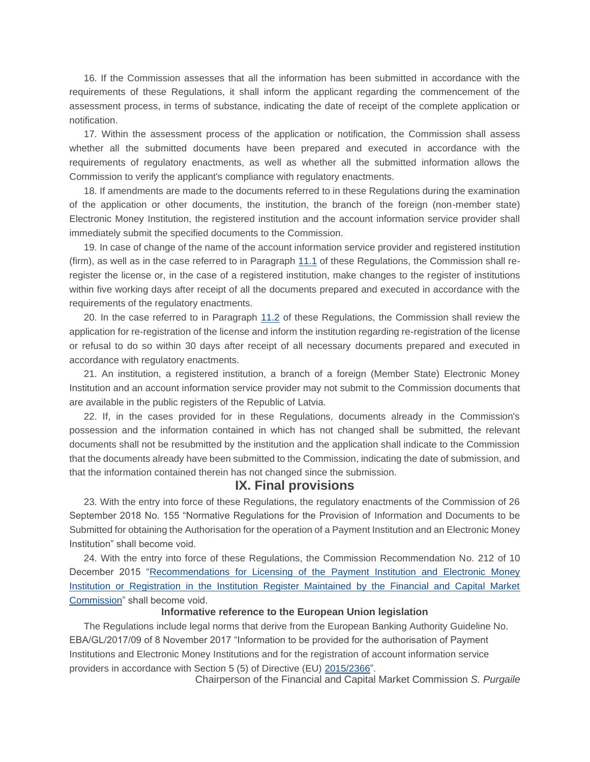16. If the Commission assesses that all the information has been submitted in accordance with the requirements of these Regulations, it shall inform the applicant regarding the commencement of the assessment process, in terms of substance, indicating the date of receipt of the complete application or notification.

17. Within the assessment process of the application or notification, the Commission shall assess whether all the submitted documents have been prepared and executed in accordance with the requirements of regulatory enactments, as well as whether all the submitted information allows the Commission to verify the applicant's compliance with regulatory enactments.

18. If amendments are made to the documents referred to in these Regulations during the examination of the application or other documents, the institution, the branch of the foreign (non-member state) Electronic Money Institution, the registered institution and the account information service provider shall immediately submit the specified documents to the Commission.

19. In case of change of the name of the account information service provider and registered institution (firm), as well as in the case referred to in Paragraph [11.1](https://m.likumi.lv/ta/id/317099#p11.1) of these Regulations, the Commission shall reregister the license or, in the case of a registered institution, make changes to the register of institutions within five working days after receipt of all the documents prepared and executed in accordance with the requirements of the regulatory enactments.

20. In the case referred to in Paragraph [11.2](https://m.likumi.lv/ta/id/317099#p11.2) of these Regulations, the Commission shall review the application for re-registration of the license and inform the institution regarding re-registration of the license or refusal to do so within 30 days after receipt of all necessary documents prepared and executed in accordance with regulatory enactments.

21. An institution, a registered institution, a branch of a foreign (Member State) Electronic Money Institution and an account information service provider may not submit to the Commission documents that are available in the public registers of the Republic of Latvia.

22. If, in the cases provided for in these Regulations, documents already in the Commission's possession and the information contained in which has not changed shall be submitted, the relevant documents shall not be resubmitted by the institution and the application shall indicate to the Commission that the documents already have been submitted to the Commission, indicating the date of submission, and that the information contained therein has not changed since the submission.

### **IX. Final provisions**

23. With the entry into force of these Regulations, the regulatory enactments of the Commission of 26 September 2018 No. 155 "Normative Regulations for the Provision of Information and Documents to be Submitted for obtaining the Authorisation for the operation of a Payment Institution and an Electronic Money Institution" shall become void.

24. With the entry into force of these Regulations, the Commission Recommendation No. 212 of 10 December 2015 "Recommendations for Licensing of the [Payment Institution and Electronic Money](https://m.likumi.lv/ta/id/278542-ieteikumi-maksajumu-iestades-un-elektroniskas-naudas-iestades-licences-sanemsanai-vai-registracijai-finansu-un-kapitala-tirgus-...)  [Institution or Registration in the Institution Register Maintained by the Financial and Capital Market](https://m.likumi.lv/ta/id/278542-ieteikumi-maksajumu-iestades-un-elektroniskas-naudas-iestades-licences-sanemsanai-vai-registracijai-finansu-un-kapitala-tirgus-...)  [Commission"](https://m.likumi.lv/ta/id/278542-ieteikumi-maksajumu-iestades-un-elektroniskas-naudas-iestades-licences-sanemsanai-vai-registracijai-finansu-un-kapitala-tirgus-...) shall become void.

#### **Informative reference to the European Union legislation**

The Regulations include legal norms that derive from the European Banking Authority Guideline No. EBA/GL/2017/09 of 8 November 2017 "Information to be provided for the authorisation of Payment Institutions and Electronic Money Institutions and for the registration of account information service providers in accordance with Section 5 (5) of Directive (EU) [2015/2366"](http://eur-lex.europa.eu/eli/dir/2015/2366/oj/?locale=LV).

Chairperson of the Financial and Capital Market Commission *S. Purgaile*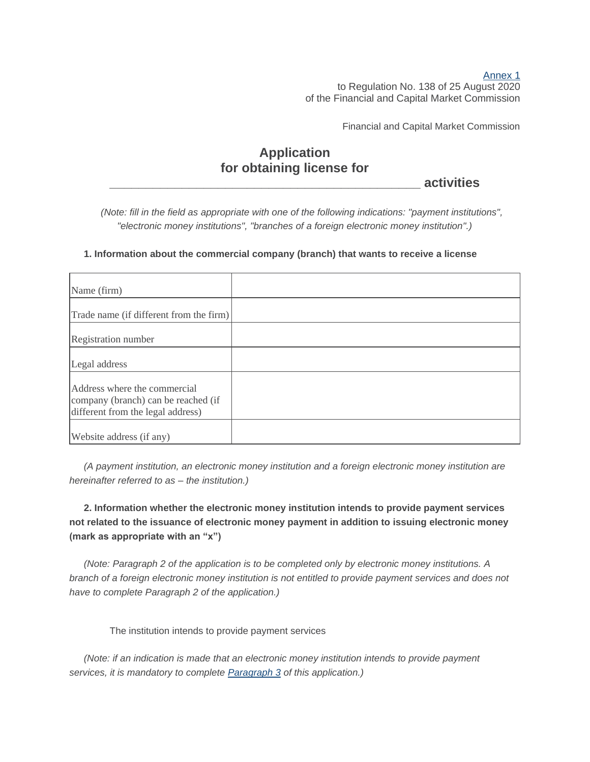[Annex](https://m.likumi.lv/wwwraksti/2020/171/BILDES/FKTK138/P1.DOCX) 1 to Regulation No. 138 of 25 August 2020 of the Financial and Capital Market Commission

Financial and Capital Market Commission

# **Application for obtaining license for**

**\_\_\_\_\_\_\_\_\_\_\_\_\_\_\_\_\_\_\_\_\_\_\_\_\_\_\_\_\_\_\_\_\_\_\_\_\_\_\_\_\_\_\_ activities**

*(Note: fill in the field as appropriate with one of the following indications: "payment institutions", "electronic money institutions", "branches of a foreign electronic money institution".)*

#### **1. Information about the commercial company (branch) that wants to receive a license**

| Name (firm)                                                                                              |  |
|----------------------------------------------------------------------------------------------------------|--|
| Trade name (if different from the firm)                                                                  |  |
| Registration number                                                                                      |  |
| Legal address                                                                                            |  |
| Address where the commercial<br>company (branch) can be reached (if<br>different from the legal address) |  |
| Website address (if any)                                                                                 |  |

*(A payment institution, an electronic money institution and a foreign electronic money institution are hereinafter referred to as – the institution.)*

**2. Information whether the electronic money institution intends to provide payment services not related to the issuance of electronic money payment in addition to issuing electronic money (mark as appropriate with an "x")**

*(Note: Paragraph 2 of the application is to be completed only by electronic money institutions. A branch of a foreign electronic money institution is not entitled to provide payment services and does not have to complete Paragraph 2 of the application.)*

The institution intends to provide payment services

*(Note: if an indication is made that an electronic money institution intends to provide payment services, it is mandatory to complete [Paragraph 3](https://m.likumi.lv/ta/id/317099#p3) of this application.)*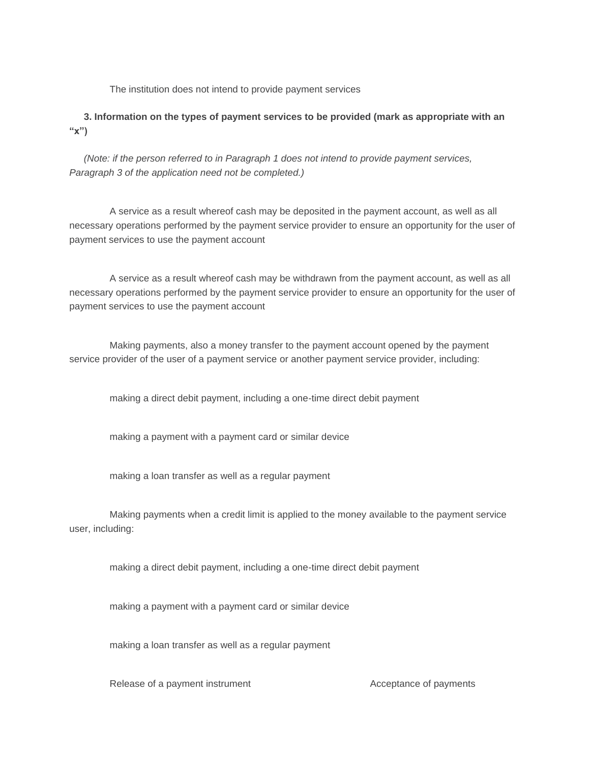The institution does not intend to provide payment services

**3. Information on the types of payment services to be provided (mark as appropriate with an "x")**

*(Note: if the person referred to in Paragraph 1 does not intend to provide payment services, Paragraph 3 of the application need not be completed.)*

A service as a result whereof cash may be deposited in the payment account, as well as all necessary operations performed by the payment service provider to ensure an opportunity for the user of payment services to use the payment account

A service as a result whereof cash may be withdrawn from the payment account, as well as all necessary operations performed by the payment service provider to ensure an opportunity for the user of payment services to use the payment account

Making payments, also a money transfer to the payment account opened by the payment service provider of the user of a payment service or another payment service provider, including:

making a direct debit payment, including a one-time direct debit payment

making a payment with a payment card or similar device

making a loan transfer as well as a regular payment

Making payments when a credit limit is applied to the money available to the payment service user, including:

making a direct debit payment, including a one-time direct debit payment

making a payment with a payment card or similar device

making a loan transfer as well as a regular payment

Release of a payment instrument Acceptance of payments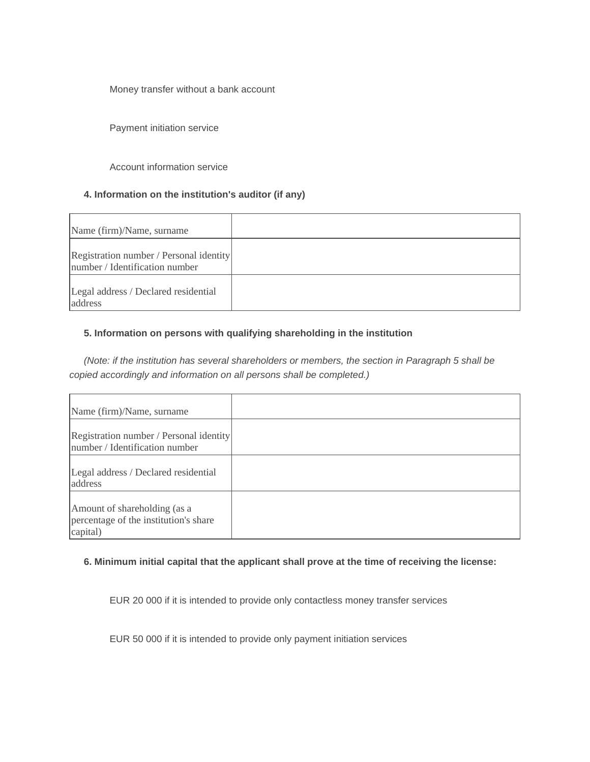Money transfer without a bank account

Payment initiation service

Account information service

#### **4. Information on the institution's auditor (if any)**

| Name (firm)/Name, surname                                                 |  |
|---------------------------------------------------------------------------|--|
| Registration number / Personal identity<br>number / Identification number |  |
| Legal address / Declared residential<br>address                           |  |

#### **5. Information on persons with qualifying shareholding in the institution**

*(Note: if the institution has several shareholders or members, the section in Paragraph 5 shall be copied accordingly and information on all persons shall be completed.)*

| Name (firm)/Name, surname                                                         |  |
|-----------------------------------------------------------------------------------|--|
| Registration number / Personal identity<br>number / Identification number         |  |
| Legal address / Declared residential<br>address                                   |  |
| Amount of shareholding (as a<br>percentage of the institution's share<br>capital) |  |

#### **6. Minimum initial capital that the applicant shall prove at the time of receiving the license:**

EUR 20 000 if it is intended to provide only contactless money transfer services

EUR 50 000 if it is intended to provide only payment initiation services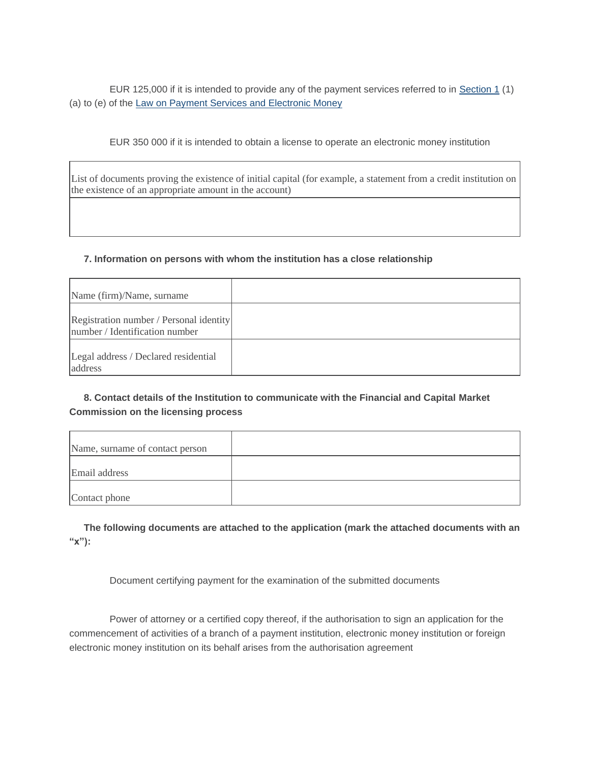EUR 125,000 if it is intended to provide any of the payment services referred to in [Section 1](https://m.likumi.lv/ta/id/206634-maksajumu-pakalpojumu-un-elektroniskas-naudas-likums#p1) (1) (a) to (e) of the [Law on Payment Services and Electronic Money](https://m.likumi.lv/ta/id/206634-maksajumu-pakalpojumu-un-elektroniskas-naudas-likums)

EUR 350 000 if it is intended to obtain a license to operate an electronic money institution

List of documents proving the existence of initial capital (for example, a statement from a credit institution on the existence of an appropriate amount in the account)

#### **7. Information on persons with whom the institution has a close relationship**

| Name (firm)/Name, surname                                                 |  |
|---------------------------------------------------------------------------|--|
| Registration number / Personal identity<br>number / Identification number |  |
| Legal address / Declared residential<br>address                           |  |

### **8. Contact details of the Institution to communicate with the Financial and Capital Market Commission on the licensing process**

| Name, surname of contact person |  |
|---------------------------------|--|
| Email address                   |  |
| Contact phone                   |  |

**The following documents are attached to the application (mark the attached documents with an "x"):**

Document certifying payment for the examination of the submitted documents

Power of attorney or a certified copy thereof, if the authorisation to sign an application for the commencement of activities of a branch of a payment institution, electronic money institution or foreign electronic money institution on its behalf arises from the authorisation agreement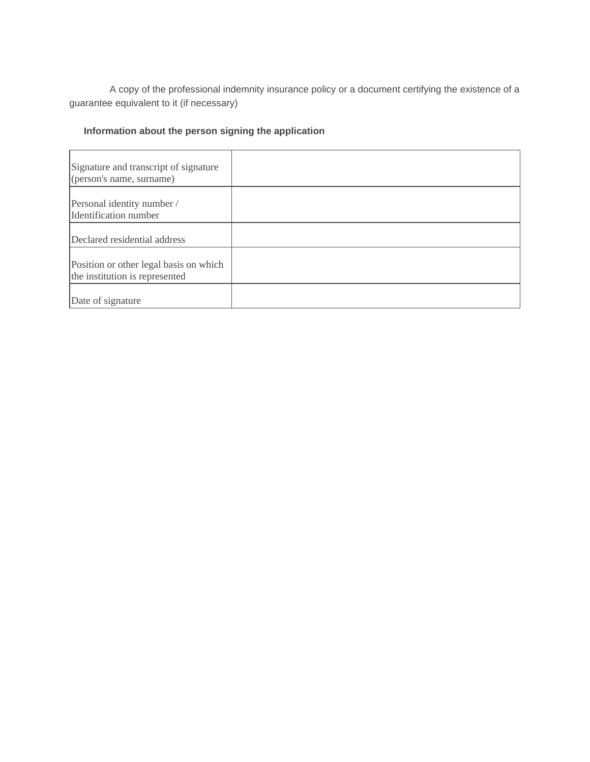A copy of the professional indemnity insurance policy or a document certifying the existence of a guarantee equivalent to it (if necessary)

## **Information about the person signing the application**

| Signature and transcript of signature<br>(person's name, surname)        |  |
|--------------------------------------------------------------------------|--|
| Personal identity number /<br>Identification number                      |  |
| Declared residential address                                             |  |
| Position or other legal basis on which<br>the institution is represented |  |
| Date of signature                                                        |  |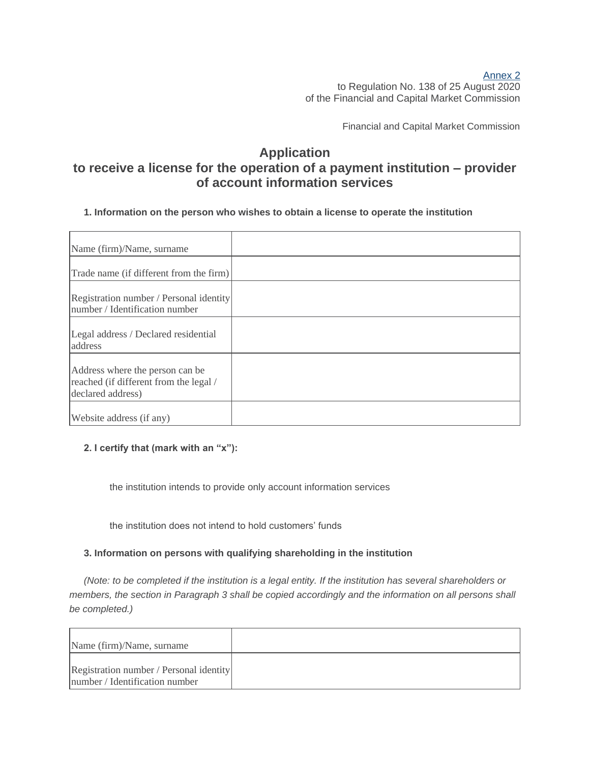### [Annex](https://m.likumi.lv/wwwraksti/2020/171/BILDES/FKTK138/P2.DOCX) 2 to Regulation No. 138 of 25 August 2020 of the Financial and Capital Market Commission

Financial and Capital Market Commission

## **Application to receive a license for the operation of a payment institution – provider of account information services**

### **1. Information on the person who wishes to obtain a license to operate the institution**

| Name (firm)/Name, surname                                                                      |  |
|------------------------------------------------------------------------------------------------|--|
| Trade name (if different from the firm)                                                        |  |
| Registration number / Personal identity<br>number / Identification number                      |  |
| Legal address / Declared residential<br>address                                                |  |
| Address where the person can be<br>reached (if different from the legal /<br>declared address) |  |
| Website address (if any)                                                                       |  |

### **2. I certify that (mark with an "x"):**

the institution intends to provide only account information services

the institution does not intend to hold customers' funds

### **3. Information on persons with qualifying shareholding in the institution**

*(Note: to be completed if the institution is a legal entity. If the institution has several shareholders or members, the section in Paragraph 3 shall be copied accordingly and the information on all persons shall be completed.)*

| Name (firm)/Name, surname                                                 |  |
|---------------------------------------------------------------------------|--|
| Registration number / Personal identity<br>number / Identification number |  |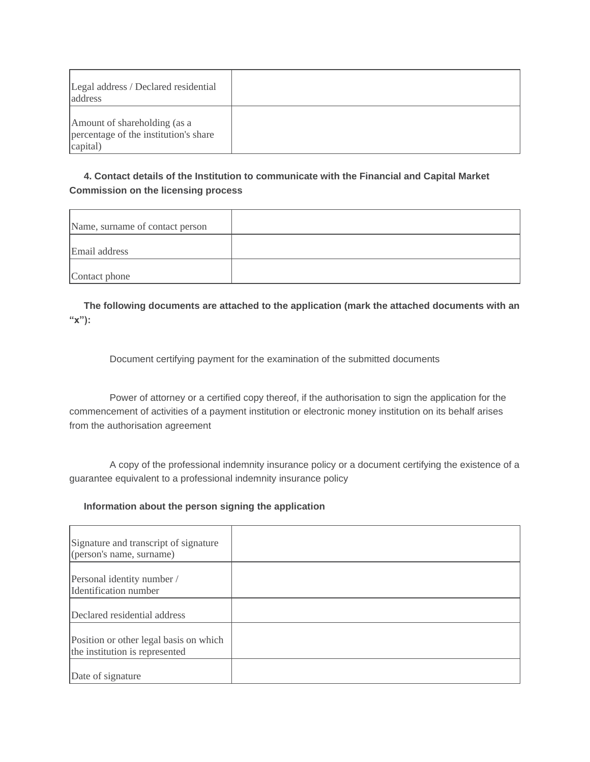| Legal address / Declared residential<br>address                                   |  |
|-----------------------------------------------------------------------------------|--|
| Amount of shareholding (as a<br>percentage of the institution's share<br>capital) |  |

### **4. Contact details of the Institution to communicate with the Financial and Capital Market Commission on the licensing process**

| Name, surname of contact person |  |
|---------------------------------|--|
| Email address                   |  |
| Contact phone                   |  |

**The following documents are attached to the application (mark the attached documents with an "x"):**

Document certifying payment for the examination of the submitted documents

Power of attorney or a certified copy thereof, if the authorisation to sign the application for the commencement of activities of a payment institution or electronic money institution on its behalf arises from the authorisation agreement

A copy of the professional indemnity insurance policy or a document certifying the existence of a guarantee equivalent to a professional indemnity insurance policy

### **Information about the person signing the application**

| Signature and transcript of signature<br>(person's name, surname)        |  |
|--------------------------------------------------------------------------|--|
| Personal identity number /<br>Identification number                      |  |
| Declared residential address                                             |  |
| Position or other legal basis on which<br>the institution is represented |  |
| Date of signature                                                        |  |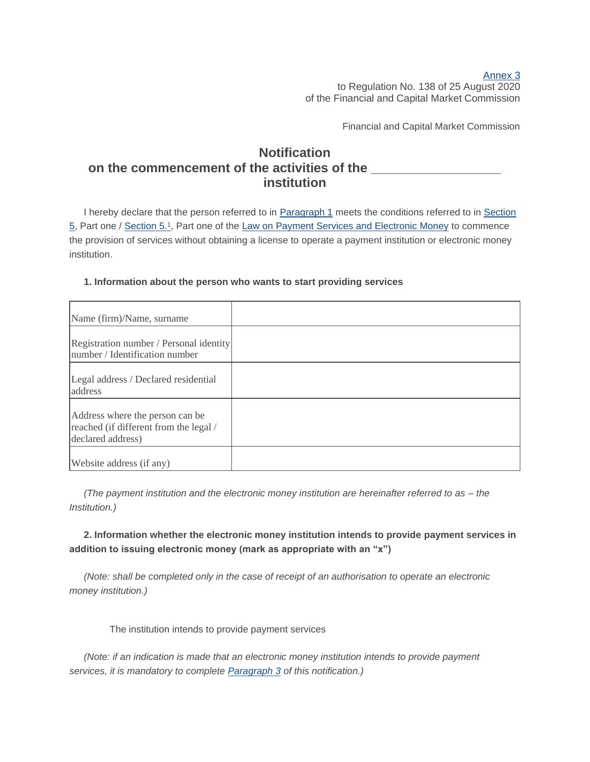#### [Annex](https://m.likumi.lv/wwwraksti/2020/171/BILDES/FKTK138/P3.DOCX) 3 to Regulation No. 138 of 25 August 2020 of the Financial and Capital Market Commission

Financial and Capital Market Commission

## **Notification** on the commencement of the activities of the **institution**

I hereby declare that the person referred to in [Paragraph 1](https://m.likumi.lv/ta/id/317099#p1) meets the conditions referred to in [Section](https://m.likumi.lv/ta/id/206634-maksajumu-pakalpojumu-un-elektroniskas-naudas-likums#p5)  [5,](https://m.likumi.lv/ta/id/206634-maksajumu-pakalpojumu-un-elektroniskas-naudas-likums#p5) Part one / [Section 5.](https://m.likumi.lv/ta/id/206634-maksajumu-pakalpojumu-un-elektroniskas-naudas-likums#p5_1)1, Part one of the [Law on Payment Services and Electronic Money](https://m.likumi.lv/ta/id/206634-maksajumu-pakalpojumu-un-elektroniskas-naudas-likums) to commence the provision of services without obtaining a license to operate a payment institution or electronic money institution.

| Name (firm)/Name, surname                                                                      |  |
|------------------------------------------------------------------------------------------------|--|
| Registration number / Personal identity<br>number / Identification number                      |  |
| Legal address / Declared residential<br>address                                                |  |
| Address where the person can be<br>reached (if different from the legal /<br>declared address) |  |
| Website address (if any)                                                                       |  |

#### **1. Information about the person who wants to start providing services**

*(The payment institution and the electronic money institution are hereinafter referred to as – the Institution.)*

**2. Information whether the electronic money institution intends to provide payment services in addition to issuing electronic money (mark as appropriate with an "x")**

*(Note: shall be completed only in the case of receipt of an authorisation to operate an electronic money institution.)*

The institution intends to provide payment services

*(Note: if an indication is made that an electronic money institution intends to provide payment services, it is mandatory to complete [Paragraph 3](https://m.likumi.lv/ta/id/317099#p3) of this notification.)*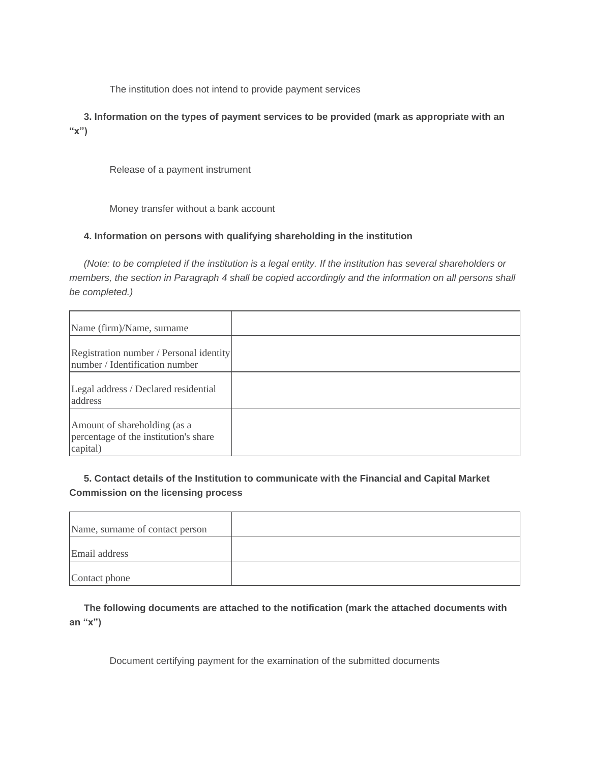The institution does not intend to provide payment services

**3. Information on the types of payment services to be provided (mark as appropriate with an "x")**

Release of a payment instrument

Money transfer without a bank account

### **4. Information on persons with qualifying shareholding in the institution**

*(Note: to be completed if the institution is a legal entity. If the institution has several shareholders or members, the section in Paragraph 4 shall be copied accordingly and the information on all persons shall be completed.)*

| Name (firm)/Name, surname                                                         |  |
|-----------------------------------------------------------------------------------|--|
| Registration number / Personal identity<br>number / Identification number         |  |
| Legal address / Declared residential<br>address                                   |  |
| Amount of shareholding (as a<br>percentage of the institution's share<br>capital) |  |

### **5. Contact details of the Institution to communicate with the Financial and Capital Market Commission on the licensing process**

| Name, surname of contact person |  |
|---------------------------------|--|
| Email address                   |  |
| Contact phone                   |  |

**The following documents are attached to the notification (mark the attached documents with an "x")**

Document certifying payment for the examination of the submitted documents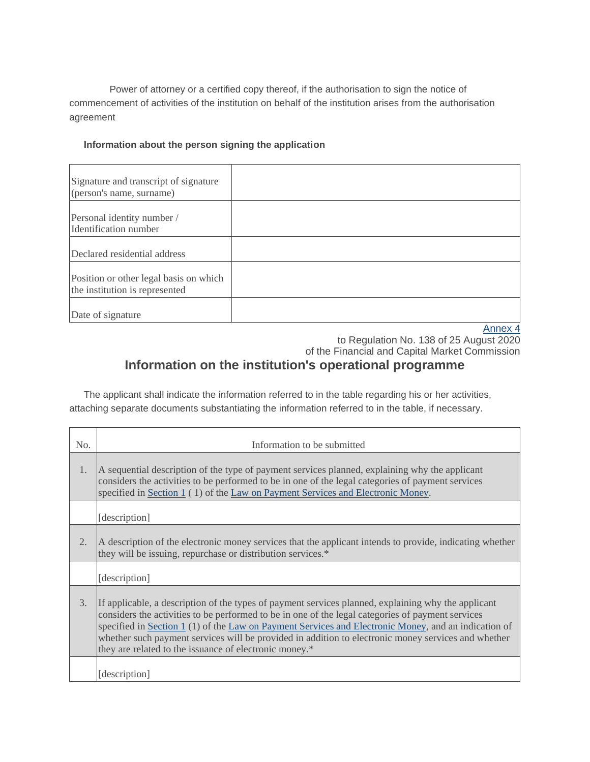Power of attorney or a certified copy thereof, if the authorisation to sign the notice of commencement of activities of the institution on behalf of the institution arises from the authorisation agreement

### **Information about the person signing the application**

| Signature and transcript of signature<br>(person's name, surname)        |                    |
|--------------------------------------------------------------------------|--------------------|
| Personal identity number /<br>Identification number                      |                    |
| Declared residential address                                             |                    |
| Position or other legal basis on which<br>the institution is represented |                    |
| Date of signature                                                        | Annov <sub>A</sub> |

[Annex](https://m.likumi.lv/wwwraksti/2020/171/BILDES/FKTK138/P4.DOCX) 4

to Regulation No. 138 of 25 August 2020 of the Financial and Capital Market Commission

# **Information on the institution's operational programme**

The applicant shall indicate the information referred to in the table regarding his or her activities, attaching separate documents substantiating the information referred to in the table, if necessary.

| No.                                                                                                                                                                                                                                                                                                                                                                                                                                                                                      | Information to be submitted                                                                                                                                                                                                                                                            |  |
|------------------------------------------------------------------------------------------------------------------------------------------------------------------------------------------------------------------------------------------------------------------------------------------------------------------------------------------------------------------------------------------------------------------------------------------------------------------------------------------|----------------------------------------------------------------------------------------------------------------------------------------------------------------------------------------------------------------------------------------------------------------------------------------|--|
| 1.                                                                                                                                                                                                                                                                                                                                                                                                                                                                                       | A sequential description of the type of payment services planned, explaining why the applicant<br>considers the activities to be performed to be in one of the legal categories of payment services<br>specified in Section 1 (1) of the Law on Payment Services and Electronic Money. |  |
|                                                                                                                                                                                                                                                                                                                                                                                                                                                                                          | [description]                                                                                                                                                                                                                                                                          |  |
| 2.                                                                                                                                                                                                                                                                                                                                                                                                                                                                                       | A description of the electronic money services that the applicant intends to provide, indicating whether<br>they will be issuing, repurchase or distribution services.*                                                                                                                |  |
|                                                                                                                                                                                                                                                                                                                                                                                                                                                                                          | [description]                                                                                                                                                                                                                                                                          |  |
| 3.<br>If applicable, a description of the types of payment services planned, explaining why the applicant<br>considers the activities to be performed to be in one of the legal categories of payment services<br>specified in Section $1(1)$ of the Law on Payment Services and Electronic Money, and an indication of<br>whether such payment services will be provided in addition to electronic money services and whether<br>they are related to the issuance of electronic money.* |                                                                                                                                                                                                                                                                                        |  |
|                                                                                                                                                                                                                                                                                                                                                                                                                                                                                          | [description]                                                                                                                                                                                                                                                                          |  |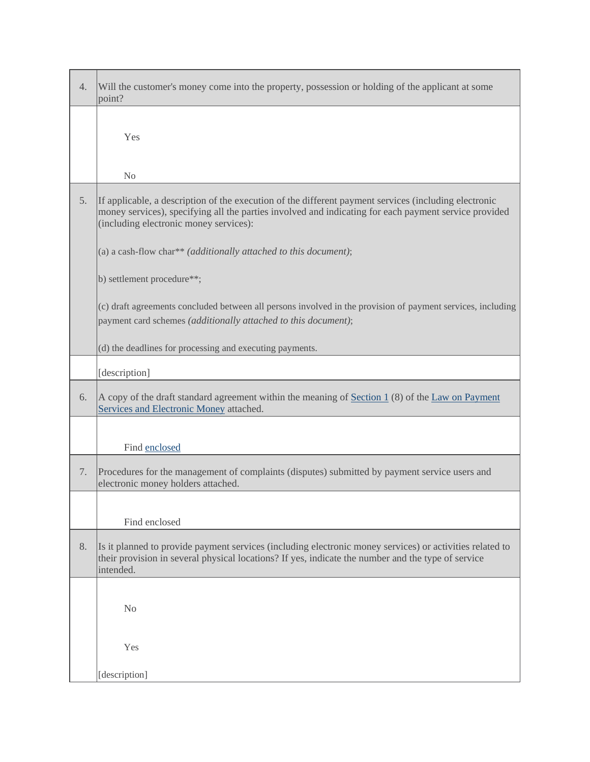| 4. | Will the customer's money come into the property, possession or holding of the applicant at some<br>point?                                                                                                                                               |
|----|----------------------------------------------------------------------------------------------------------------------------------------------------------------------------------------------------------------------------------------------------------|
|    | Yes                                                                                                                                                                                                                                                      |
|    | No                                                                                                                                                                                                                                                       |
| 5. | If applicable, a description of the execution of the different payment services (including electronic<br>money services), specifying all the parties involved and indicating for each payment service provided<br>(including electronic money services): |
|    | (a) a cash-flow char** ( <i>additionally attached to this document</i> );                                                                                                                                                                                |
|    | b) settlement procedure**;                                                                                                                                                                                                                               |
|    | (c) draft agreements concluded between all persons involved in the provision of payment services, including<br>payment card schemes (additionally attached to this document);                                                                            |
|    | (d) the deadlines for processing and executing payments.                                                                                                                                                                                                 |
|    | [description]                                                                                                                                                                                                                                            |
| 6. | A copy of the draft standard agreement within the meaning of Section 1 (8) of the Law on Payment<br>Services and Electronic Money attached.                                                                                                              |
|    | Find enclosed                                                                                                                                                                                                                                            |
| 7. | Procedures for the management of complaints (disputes) submitted by payment service users and<br>electronic money holders attached.                                                                                                                      |
|    |                                                                                                                                                                                                                                                          |
|    | Find enclosed                                                                                                                                                                                                                                            |
| 8. | Is it planned to provide payment services (including electronic money services) or activities related to<br>their provision in several physical locations? If yes, indicate the number and the type of service<br>intended.                              |
|    | N <sub>0</sub>                                                                                                                                                                                                                                           |
|    | Yes                                                                                                                                                                                                                                                      |
|    | [description]                                                                                                                                                                                                                                            |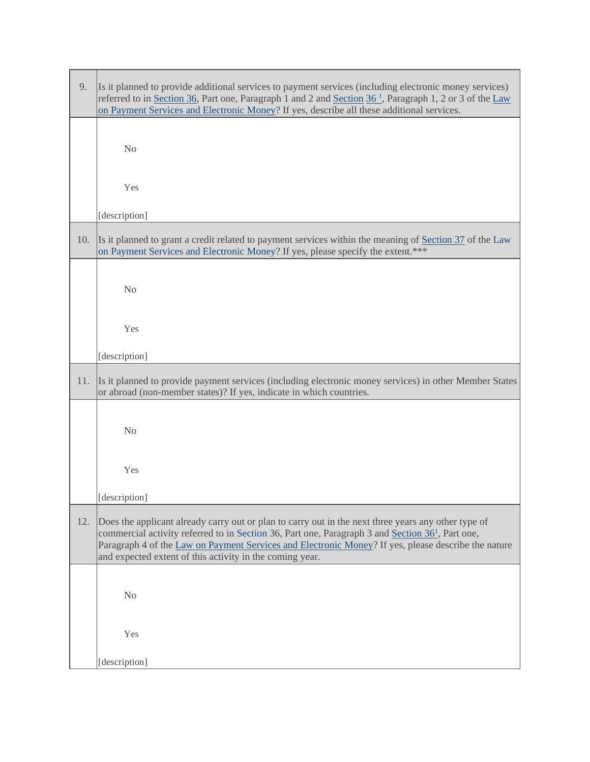| 9.  | Is it planned to provide additional services to payment services (including electronic money services)<br>referred to in Section 36, Part one, Paragraph 1 and 2 and Section 36 <sup>1</sup> , Paragraph 1, 2 or 3 of the Law<br>on Payment Services and Electronic Money? If yes, describe all these additional services.                                                             |
|-----|----------------------------------------------------------------------------------------------------------------------------------------------------------------------------------------------------------------------------------------------------------------------------------------------------------------------------------------------------------------------------------------|
|     | N <sub>o</sub>                                                                                                                                                                                                                                                                                                                                                                         |
|     | Yes                                                                                                                                                                                                                                                                                                                                                                                    |
|     | [description]                                                                                                                                                                                                                                                                                                                                                                          |
| 10. | Is it planned to grant a credit related to payment services within the meaning of Section 37 of the Law<br>on Payment Services and Electronic Money? If yes, please specify the extent.***                                                                                                                                                                                             |
|     | N <sub>o</sub>                                                                                                                                                                                                                                                                                                                                                                         |
|     | Yes                                                                                                                                                                                                                                                                                                                                                                                    |
|     | [description]                                                                                                                                                                                                                                                                                                                                                                          |
| 11. | Is it planned to provide payment services (including electronic money services) in other Member States<br>or abroad (non-member states)? If yes, indicate in which countries.                                                                                                                                                                                                          |
|     | N <sub>o</sub>                                                                                                                                                                                                                                                                                                                                                                         |
|     | Yes                                                                                                                                                                                                                                                                                                                                                                                    |
|     | [description]                                                                                                                                                                                                                                                                                                                                                                          |
| 12. | Does the applicant already carry out or plan to carry out in the next three years any other type of<br>commercial activity referred to in Section 36, Part one, Paragraph 3 and Section 36 <sup>1</sup> , Part one,<br>Paragraph 4 of the Law on Payment Services and Electronic Money? If yes, please describe the nature<br>and expected extent of this activity in the coming year. |
|     | N <sub>0</sub>                                                                                                                                                                                                                                                                                                                                                                         |
|     | Yes                                                                                                                                                                                                                                                                                                                                                                                    |
|     | [description]                                                                                                                                                                                                                                                                                                                                                                          |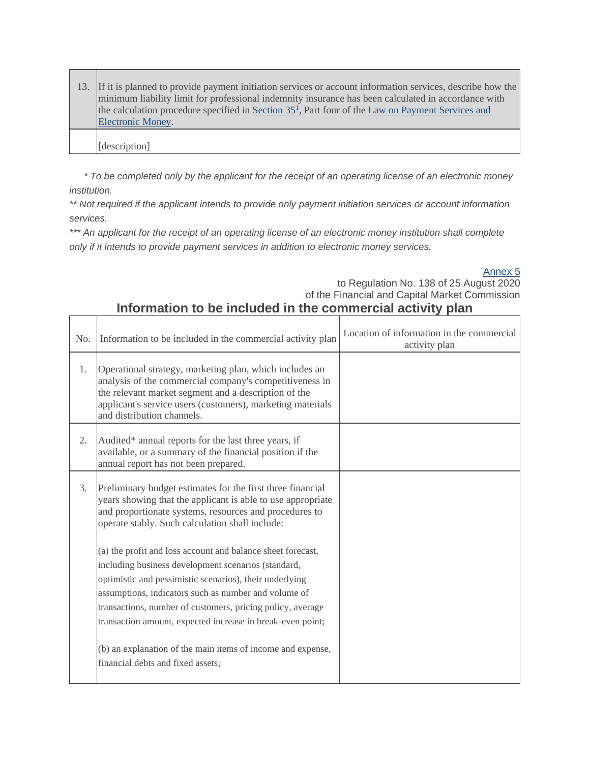| 13. If it is planned to provide payment initiation services or account information services, describe how the<br>minimum liability limit for professional indemnity insurance has been calculated in accordance with<br>the calculation procedure specified in Section $351$ , Part four of the Law on Payment Services and<br>Electronic Money. |
|--------------------------------------------------------------------------------------------------------------------------------------------------------------------------------------------------------------------------------------------------------------------------------------------------------------------------------------------------|
| [description]                                                                                                                                                                                                                                                                                                                                    |

П

*\* To be completed only by the applicant for the receipt of an operating license of an electronic money institution.*

*\*\* Not required if the applicant intends to provide only payment initiation services or account information services.*

*\*\*\* An applicant for the receipt of an operating license of an electronic money institution shall complete only if it intends to provide payment services in addition to electronic money services.*

[Annex](https://m.likumi.lv/wwwraksti/2020/171/BILDES/FKTK138/P5.DOCX) 5

to Regulation No. 138 of 25 August 2020 of the Financial and Capital Market Commission

## **Information to be included in the commercial activity plan**

| N <sub>0</sub> . | Information to be included in the commercial activity plan                                                                                                                                                                                                                                                                                                        | Location of information in the commercial<br>activity plan |
|------------------|-------------------------------------------------------------------------------------------------------------------------------------------------------------------------------------------------------------------------------------------------------------------------------------------------------------------------------------------------------------------|------------------------------------------------------------|
| 1.               | Operational strategy, marketing plan, which includes an<br>analysis of the commercial company's competitiveness in<br>the relevant market segment and a description of the<br>applicant's service users (customers), marketing materials<br>and distribution channels.                                                                                            |                                                            |
| 2.               | Audited* annual reports for the last three years, if<br>available, or a summary of the financial position if the<br>annual report has not been prepared.                                                                                                                                                                                                          |                                                            |
| 3.               | Preliminary budget estimates for the first three financial<br>years showing that the applicant is able to use appropriate<br>and proportionate systems, resources and procedures to<br>operate stably. Such calculation shall include:                                                                                                                            |                                                            |
|                  | (a) the profit and loss account and balance sheet forecast,<br>including business development scenarios (standard,<br>optimistic and pessimistic scenarios), their underlying<br>assumptions, indicators such as number and volume of<br>transactions, number of customers, pricing policy, average<br>transaction amount, expected increase in break-even point; |                                                            |
|                  | (b) an explanation of the main items of income and expense,<br>financial debts and fixed assets;                                                                                                                                                                                                                                                                  |                                                            |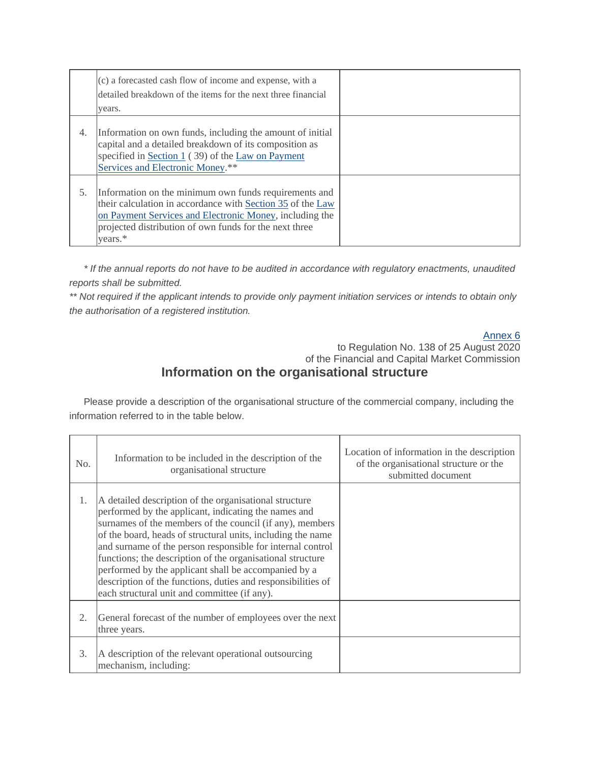|    | (c) a forecasted cash flow of income and expense, with a<br>detailed breakdown of the items for the next three financial<br>years.                                                                                                                  |  |
|----|-----------------------------------------------------------------------------------------------------------------------------------------------------------------------------------------------------------------------------------------------------|--|
| 4. | Information on own funds, including the amount of initial<br>capital and a detailed breakdown of its composition as<br>specified in Section 1 (39) of the Law on Payment<br>Services and Electronic Money.**                                        |  |
| 5. | Information on the minimum own funds requirements and<br>their calculation in accordance with Section 35 of the Law<br>on Payment Services and Electronic Money, including the<br>projected distribution of own funds for the next three<br>years.* |  |

*\* If the annual reports do not have to be audited in accordance with regulatory enactments, unaudited reports shall be submitted.*

*\*\* Not required if the applicant intends to provide only payment initiation services or intends to obtain only the authorisation of a registered institution.*

#### [Annex 6](https://m.likumi.lv/wwwraksti/2020/171/BILDES/FKTK138/P6.DOCX)

## to Regulation No. 138 of 25 August 2020 of the Financial and Capital Market Commission **Information on the organisational structure**

Please provide a description of the organisational structure of the commercial company, including the information referred to in the table below.

| No. | Information to be included in the description of the<br>organisational structure                                                                                                                                                                                                                                                                                                                                                                                                                                                              | Location of information in the description<br>of the organisational structure or the<br>submitted document |
|-----|-----------------------------------------------------------------------------------------------------------------------------------------------------------------------------------------------------------------------------------------------------------------------------------------------------------------------------------------------------------------------------------------------------------------------------------------------------------------------------------------------------------------------------------------------|------------------------------------------------------------------------------------------------------------|
| 1.  | A detailed description of the organisational structure<br>performed by the applicant, indicating the names and<br>surnames of the members of the council (if any), members<br>of the board, heads of structural units, including the name<br>and surname of the person responsible for internal control<br>functions; the description of the organisational structure<br>performed by the applicant shall be accompanied by a<br>description of the functions, duties and responsibilities of<br>each structural unit and committee (if any). |                                                                                                            |
| 2.  | General forecast of the number of employees over the next<br>three years.                                                                                                                                                                                                                                                                                                                                                                                                                                                                     |                                                                                                            |
| 3.  | A description of the relevant operational outsourcing<br>mechanism, including:                                                                                                                                                                                                                                                                                                                                                                                                                                                                |                                                                                                            |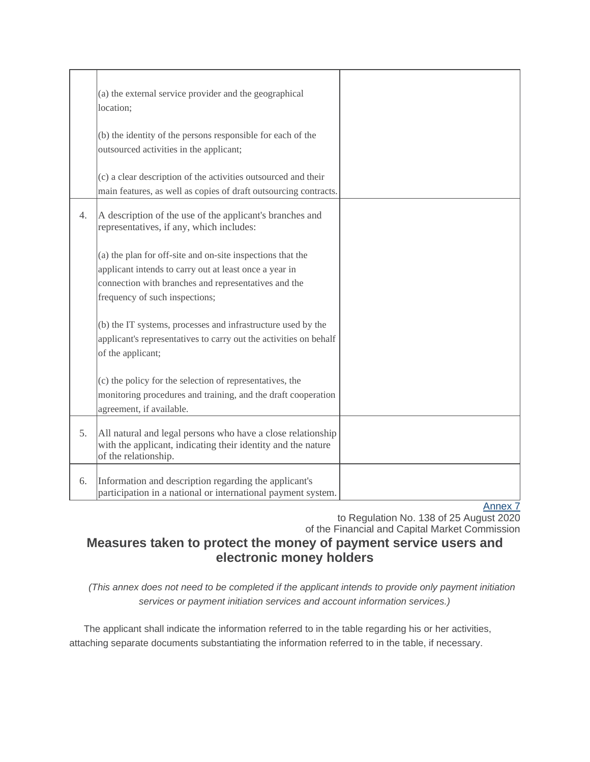|                  | (a) the external service provider and the geographical<br>location:                                                                                                                                            |  |
|------------------|----------------------------------------------------------------------------------------------------------------------------------------------------------------------------------------------------------------|--|
|                  | (b) the identity of the persons responsible for each of the<br>outsourced activities in the applicant;                                                                                                         |  |
|                  | (c) a clear description of the activities outsourced and their<br>main features, as well as copies of draft outsourcing contracts.                                                                             |  |
| $\overline{4}$ . | A description of the use of the applicant's branches and<br>representatives, if any, which includes:                                                                                                           |  |
|                  | (a) the plan for off-site and on-site inspections that the<br>applicant intends to carry out at least once a year in<br>connection with branches and representatives and the<br>frequency of such inspections; |  |
|                  | (b) the IT systems, processes and infrastructure used by the<br>applicant's representatives to carry out the activities on behalf<br>of the applicant;                                                         |  |
|                  | (c) the policy for the selection of representatives, the<br>monitoring procedures and training, and the draft cooperation<br>agreement, if available.                                                          |  |
| 5.               | All natural and legal persons who have a close relationship<br>with the applicant, indicating their identity and the nature<br>of the relationship.                                                            |  |
| 6.               | Information and description regarding the applicant's<br>participation in a national or international payment system.                                                                                          |  |

to Regulation No. 138 of 25 August 2020 of the Financial and Capital Market Commission

# **Measures taken to protect the money of payment service users and electronic money holders**

*(This annex does not need to be completed if the applicant intends to provide only payment initiation services or payment initiation services and account information services.)*

The applicant shall indicate the information referred to in the table regarding his or her activities, attaching separate documents substantiating the information referred to in the table, if necessary.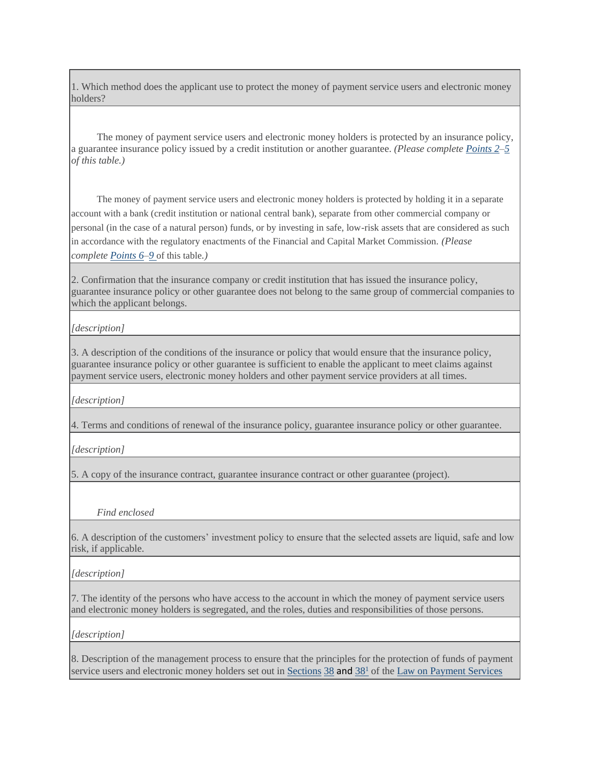1. Which method does the applicant use to protect the money of payment service users and electronic money holders?

The money of payment service users and electronic money holders is protected by an insurance policy, a guarantee insurance policy issued by a credit institution or another guarantee. *(Please complet[e Points 2](https://m.likumi.lv/ta/id/317099#p2)[–5](https://m.likumi.lv/ta/id/317099#p5) of this table.)*

The money of payment service users and electronic money holders is protected by holding it in a separate account with a bank (credit institution or national central bank), separate from other commercial company or personal (in the case of a natural person) funds, or by investing in safe, low-risk assets that are considered as such in accordance with the regulatory enactments of the Financial and Capital Market Commission. *(Please complete [Points 6](https://m.likumi.lv/ta/id/317099#p6)[–9](https://m.likumi.lv/ta/id/317099#p9)* of this table*.)*

2. Confirmation that the insurance company or credit institution that has issued the insurance policy, guarantee insurance policy or other guarantee does not belong to the same group of commercial companies to which the applicant belongs.

*[description]*

3. A description of the conditions of the insurance or policy that would ensure that the insurance policy, guarantee insurance policy or other guarantee is sufficient to enable the applicant to meet claims against payment service users, electronic money holders and other payment service providers at all times.

*[description]*

4. Terms and conditions of renewal of the insurance policy, guarantee insurance policy or other guarantee.

*[description]*

5. A copy of the insurance contract, guarantee insurance contract or other guarantee (project).

*Find enclosed*

6. A description of the customers' investment policy to ensure that the selected assets are liquid, safe and low risk, if applicable.

*[description]*

7. The identity of the persons who have access to the account in which the money of payment service users and electronic money holders is segregated, and the roles, duties and responsibilities of those persons.

*[description]*

8. Description of the management process to ensure that the principles for the protection of funds of payment service users and electronic money holders set out in  $S$ ections  $38$  and  $38<sup>1</sup>$  of the Law on Payment Services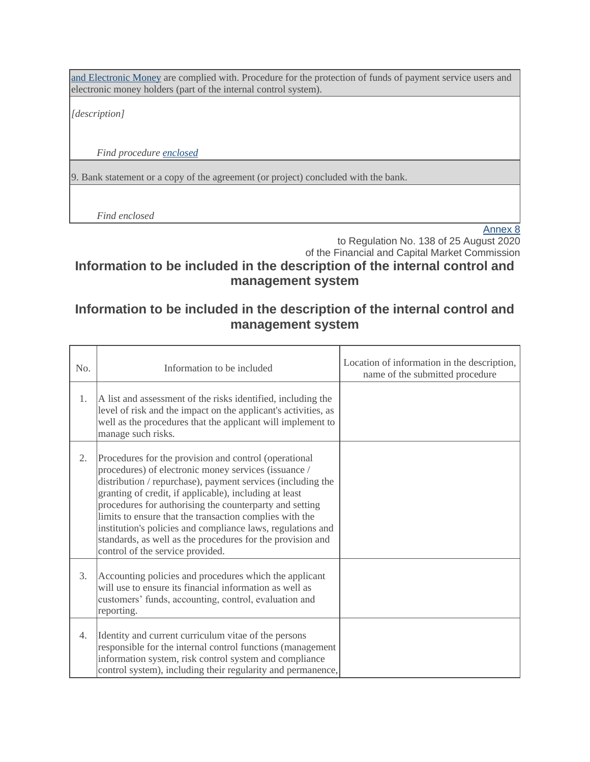[and Electronic Money](https://m.likumi.lv/ta/id/206634-maksajumu-pakalpojumu-un-elektroniskas-naudas-likums) are complied with. Procedure for the protection of funds of payment service users and electronic money holders (part of the internal control system).

*[description]*

*Find procedure [enclosed](https://m.likumi.lv/ta/id/206634-maksajumu-pakalpojumu-un-elektroniskas-naudas-likums#piel0)*

9. Bank statement or a copy of the agreement (or project) concluded with the bank.

*Find enclosed*

[Annex 8](https://m.likumi.lv/wwwraksti/2020/171/BILDES/FKTK138/P8.DOCX)

to Regulation No. 138 of 25 August 2020 of the Financial and Capital Market Commission

# **Information to be included in the description of the internal control and management system**

## **Information to be included in the description of the internal control and management system**

| No. | Information to be included                                                                                                                                                                                                                                                                                                                                                                                                                                                                                                    | Location of information in the description,<br>name of the submitted procedure |
|-----|-------------------------------------------------------------------------------------------------------------------------------------------------------------------------------------------------------------------------------------------------------------------------------------------------------------------------------------------------------------------------------------------------------------------------------------------------------------------------------------------------------------------------------|--------------------------------------------------------------------------------|
| 1.  | A list and assessment of the risks identified, including the<br>level of risk and the impact on the applicant's activities, as<br>well as the procedures that the applicant will implement to<br>manage such risks.                                                                                                                                                                                                                                                                                                           |                                                                                |
| 2.  | Procedures for the provision and control (operational<br>procedures) of electronic money services (issuance /<br>distribution / repurchase), payment services (including the<br>granting of credit, if applicable), including at least<br>procedures for authorising the counterparty and setting<br>limits to ensure that the transaction complies with the<br>institution's policies and compliance laws, regulations and<br>standards, as well as the procedures for the provision and<br>control of the service provided. |                                                                                |
| 3.  | Accounting policies and procedures which the applicant<br>will use to ensure its financial information as well as<br>customers' funds, accounting, control, evaluation and<br>reporting.                                                                                                                                                                                                                                                                                                                                      |                                                                                |
| 4.  | Identity and current curriculum vitae of the persons<br>responsible for the internal control functions (management<br>information system, risk control system and compliance<br>control system), including their regularity and permanence,                                                                                                                                                                                                                                                                                   |                                                                                |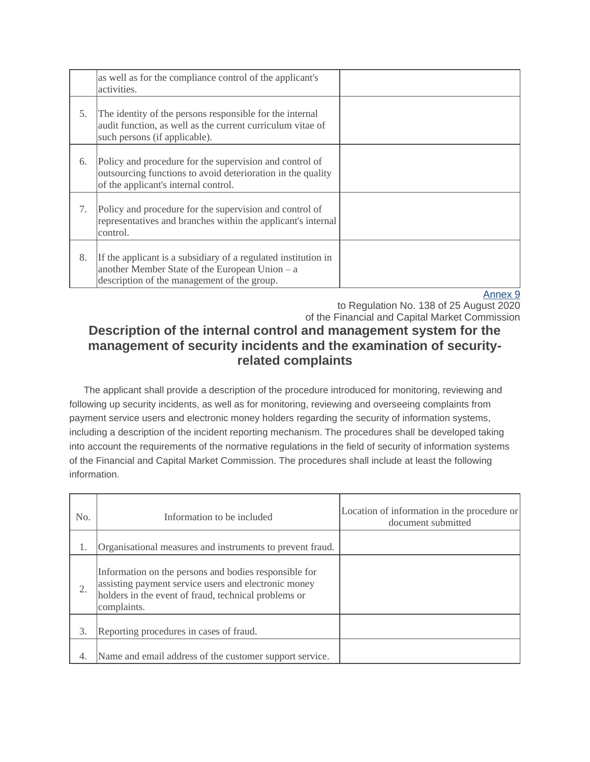|    | as well as for the compliance control of the applicant's<br>activities.                                                                                         |  |
|----|-----------------------------------------------------------------------------------------------------------------------------------------------------------------|--|
| 5. | The identity of the persons responsible for the internal<br>audit function, as well as the current curriculum vitae of<br>such persons (if applicable).         |  |
| 6. | Policy and procedure for the supervision and control of<br>outsourcing functions to avoid deterioration in the quality<br>of the applicant's internal control.  |  |
| 7. | Policy and procedure for the supervision and control of<br>representatives and branches within the applicant's internal<br>control.                             |  |
| 8. | If the applicant is a subsidiary of a regulated institution in<br>another Member State of the European Union – a<br>description of the management of the group. |  |

to Regulation No. 138 of 25 August 2020 of the Financial and Capital Market Commission

# **Description of the internal control and management system for the management of security incidents and the examination of securityrelated complaints**

The applicant shall provide a description of the procedure introduced for monitoring, reviewing and following up security incidents, as well as for monitoring, reviewing and overseeing complaints from payment service users and electronic money holders regarding the security of information systems, including a description of the incident reporting mechanism. The procedures shall be developed taking into account the requirements of the normative regulations in the field of security of information systems of the Financial and Capital Market Commission. The procedures shall include at least the following information.

| No. | Information to be included                                                                                                                                                           | Location of information in the procedure or<br>document submitted |
|-----|--------------------------------------------------------------------------------------------------------------------------------------------------------------------------------------|-------------------------------------------------------------------|
| 1.  | Organisational measures and instruments to prevent fraud.                                                                                                                            |                                                                   |
| 2.  | Information on the persons and bodies responsible for<br>assisting payment service users and electronic money<br>holders in the event of fraud, technical problems or<br>complaints. |                                                                   |
| 3.  | Reporting procedures in cases of fraud.                                                                                                                                              |                                                                   |
| 4.  | Name and email address of the customer support service.                                                                                                                              |                                                                   |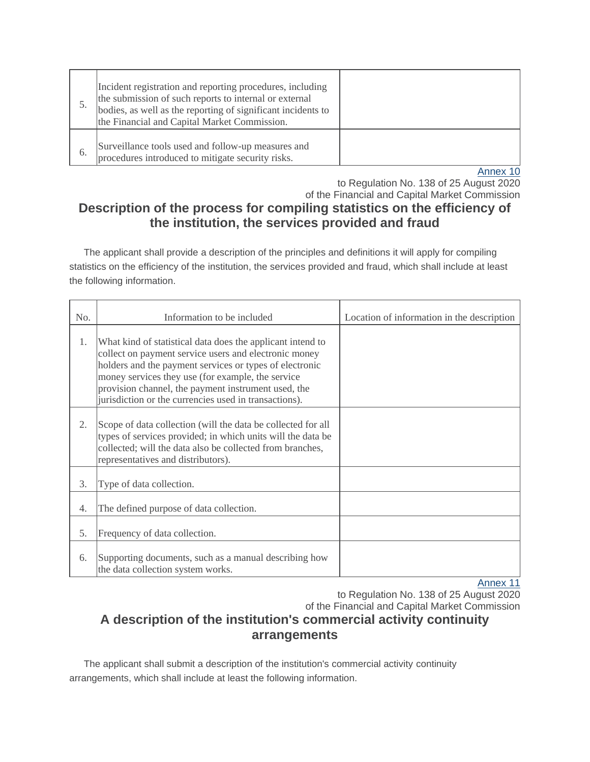|    | Incident registration and reporting procedures, including<br>the submission of such reports to internal or external<br>bodies, as well as the reporting of significant incidents to<br>the Financial and Capital Market Commission. |        |
|----|-------------------------------------------------------------------------------------------------------------------------------------------------------------------------------------------------------------------------------------|--------|
| 6. | Surveillance tools used and follow-up measures and<br>procedures introduced to mitigate security risks.                                                                                                                             |        |
|    |                                                                                                                                                                                                                                     | $\sim$ |

to Regulation No. 138 of 25 August 2020 of the Financial and Capital Market Commission

# **Description of the process for compiling statistics on the efficiency of the institution, the services provided and fraud**

The applicant shall provide a description of the principles and definitions it will apply for compiling statistics on the efficiency of the institution, the services provided and fraud, which shall include at least the following information.

| No. | Information to be included                                                                                                                                                                                                                                                                                                                          | Location of information in the description |
|-----|-----------------------------------------------------------------------------------------------------------------------------------------------------------------------------------------------------------------------------------------------------------------------------------------------------------------------------------------------------|--------------------------------------------|
| 1.  | What kind of statistical data does the applicant intend to<br>collect on payment service users and electronic money<br>holders and the payment services or types of electronic<br>money services they use (for example, the service<br>provision channel, the payment instrument used, the<br>jurisdiction or the currencies used in transactions). |                                            |
| 2.  | Scope of data collection (will the data be collected for all<br>types of services provided; in which units will the data be<br>collected; will the data also be collected from branches,<br>representatives and distributors).                                                                                                                      |                                            |
| 3.  | Type of data collection.                                                                                                                                                                                                                                                                                                                            |                                            |
| 4.  | The defined purpose of data collection.                                                                                                                                                                                                                                                                                                             |                                            |
| 5.  | Frequency of data collection.                                                                                                                                                                                                                                                                                                                       |                                            |
| 6.  | Supporting documents, such as a manual describing how<br>the data collection system works.                                                                                                                                                                                                                                                          | Annoy 11                                   |

[Annex 11](https://m.likumi.lv/wwwraksti/2020/171/BILDES/FKTK138/P11.DOCX)

to Regulation No. 138 of 25 August 2020

of the Financial and Capital Market Commission

# **A description of the institution's commercial activity continuity arrangements**

The applicant shall submit a description of the institution's commercial activity continuity arrangements, which shall include at least the following information.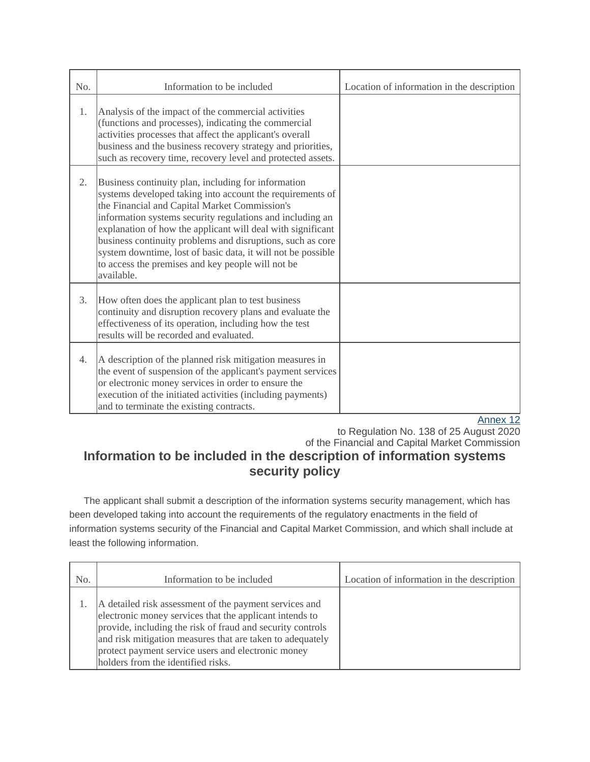| No. | Information to be included                                                                                                                                                                                                                                                                                                                                                                                                                                                                     | Location of information in the description |
|-----|------------------------------------------------------------------------------------------------------------------------------------------------------------------------------------------------------------------------------------------------------------------------------------------------------------------------------------------------------------------------------------------------------------------------------------------------------------------------------------------------|--------------------------------------------|
| 1.  | Analysis of the impact of the commercial activities<br>(functions and processes), indicating the commercial<br>activities processes that affect the applicant's overall<br>business and the business recovery strategy and priorities,<br>such as recovery time, recovery level and protected assets.                                                                                                                                                                                          |                                            |
| 2.  | Business continuity plan, including for information<br>systems developed taking into account the requirements of<br>the Financial and Capital Market Commission's<br>information systems security regulations and including an<br>explanation of how the applicant will deal with significant<br>business continuity problems and disruptions, such as core<br>system downtime, lost of basic data, it will not be possible<br>to access the premises and key people will not be<br>available. |                                            |
| 3.  | How often does the applicant plan to test business<br>continuity and disruption recovery plans and evaluate the<br>effectiveness of its operation, including how the test<br>results will be recorded and evaluated.                                                                                                                                                                                                                                                                           |                                            |
| 4.  | A description of the planned risk mitigation measures in<br>the event of suspension of the applicant's payment services<br>or electronic money services in order to ensure the<br>execution of the initiated activities (including payments)<br>and to terminate the existing contracts.                                                                                                                                                                                                       | Annay 49                                   |

to Regulation No. 138 of 25 August 2020 of the Financial and Capital Market Commission

# **Information to be included in the description of information systems security policy**

The applicant shall submit a description of the information systems security management, which has been developed taking into account the requirements of the regulatory enactments in the field of information systems security of the Financial and Capital Market Commission, and which shall include at least the following information.

| No. | Information to be included                                                                                                                                                                                                                                                                                                               | Location of information in the description |
|-----|------------------------------------------------------------------------------------------------------------------------------------------------------------------------------------------------------------------------------------------------------------------------------------------------------------------------------------------|--------------------------------------------|
|     | A detailed risk assessment of the payment services and<br>electronic money services that the applicant intends to<br>provide, including the risk of fraud and security controls<br>and risk mitigation measures that are taken to adequately<br>protect payment service users and electronic money<br>holders from the identified risks. |                                            |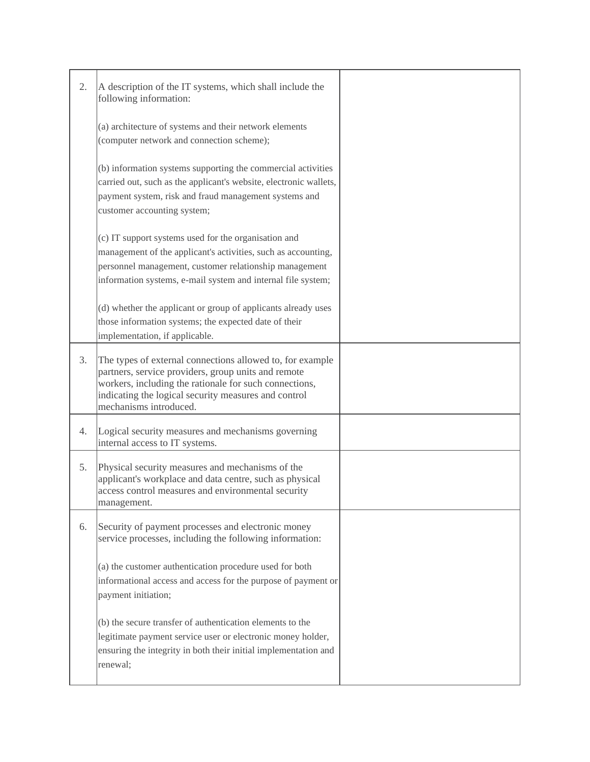| 2. | A description of the IT systems, which shall include the<br>following information:                                                                                                                                                                           |  |
|----|--------------------------------------------------------------------------------------------------------------------------------------------------------------------------------------------------------------------------------------------------------------|--|
|    | (a) architecture of systems and their network elements<br>(computer network and connection scheme);                                                                                                                                                          |  |
|    | (b) information systems supporting the commercial activities<br>carried out, such as the applicant's website, electronic wallets,<br>payment system, risk and fraud management systems and<br>customer accounting system;                                    |  |
|    | (c) IT support systems used for the organisation and<br>management of the applicant's activities, such as accounting,<br>personnel management, customer relationship management<br>information systems, e-mail system and internal file system;              |  |
|    | (d) whether the applicant or group of applicants already uses<br>those information systems; the expected date of their<br>implementation, if applicable.                                                                                                     |  |
| 3. | The types of external connections allowed to, for example<br>partners, service providers, group units and remote<br>workers, including the rationale for such connections,<br>indicating the logical security measures and control<br>mechanisms introduced. |  |
| 4. | Logical security measures and mechanisms governing<br>internal access to IT systems.                                                                                                                                                                         |  |
| 5. | Physical security measures and mechanisms of the<br>applicant's workplace and data centre, such as physical<br>access control measures and environmental security<br>management.                                                                             |  |
| 6. | Security of payment processes and electronic money<br>service processes, including the following information:                                                                                                                                                |  |
|    | (a) the customer authentication procedure used for both<br>informational access and access for the purpose of payment or<br>payment initiation;                                                                                                              |  |
|    | (b) the secure transfer of authentication elements to the<br>legitimate payment service user or electronic money holder,<br>ensuring the integrity in both their initial implementation and<br>renewal;                                                      |  |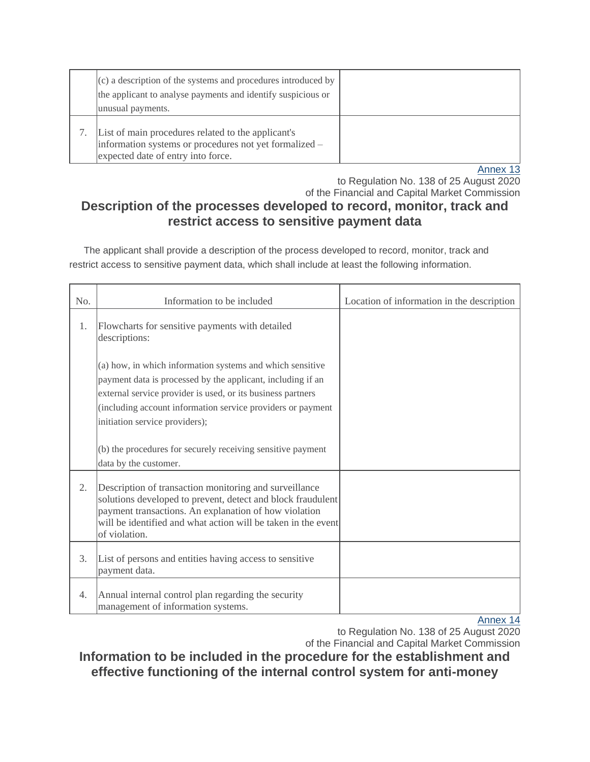| $(c)$ a description of the systems and procedures introduced by<br>the applicant to analyse payments and identify suspicious or<br>unusual payments. |  |
|------------------------------------------------------------------------------------------------------------------------------------------------------|--|
| List of main procedures related to the applicant's<br>information systems or procedures not yet formalized -<br>expected date of entry into force.   |  |

to Regulation No. 138 of 25 August 2020 of the Financial and Capital Market Commission

# **Description of the processes developed to record, monitor, track and restrict access to sensitive payment data**

The applicant shall provide a description of the process developed to record, monitor, track and restrict access to sensitive payment data, which shall include at least the following information.

| No. | Information to be included                                                                                                                                                                                                                                                               | Location of information in the description |
|-----|------------------------------------------------------------------------------------------------------------------------------------------------------------------------------------------------------------------------------------------------------------------------------------------|--------------------------------------------|
| 1.  | Flowcharts for sensitive payments with detailed<br>descriptions:                                                                                                                                                                                                                         |                                            |
|     | (a) how, in which information systems and which sensitive<br>payment data is processed by the applicant, including if an<br>external service provider is used, or its business partners<br>(including account information service providers or payment<br>initiation service providers); |                                            |
|     | (b) the procedures for securely receiving sensitive payment<br>data by the customer.                                                                                                                                                                                                     |                                            |
| 2.  | Description of transaction monitoring and surveillance<br>solutions developed to prevent, detect and block fraudulent<br>payment transactions. An explanation of how violation<br>will be identified and what action will be taken in the event<br>of violation.                         |                                            |
| 3.  | List of persons and entities having access to sensitive<br>payment data.                                                                                                                                                                                                                 |                                            |
| 4.  | Annual internal control plan regarding the security<br>management of information systems.                                                                                                                                                                                                | Annov 11                                   |

[Annex 14](https://m.likumi.lv/wwwraksti/2020/171/BILDES/FKTK138/P14.DOCX)

to Regulation No. 138 of 25 August 2020 of the Financial and Capital Market Commission

**Information to be included in the procedure for the establishment and effective functioning of the internal control system for anti-money**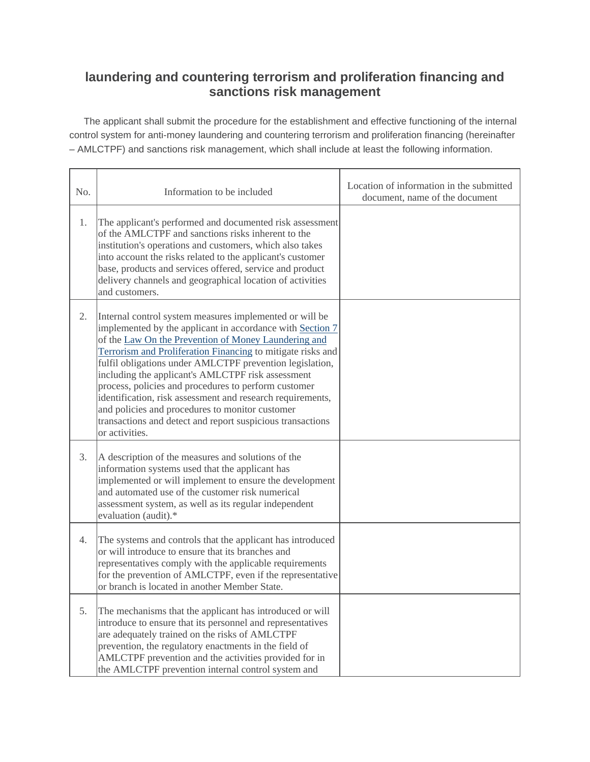# **laundering and countering terrorism and proliferation financing and sanctions risk management**

The applicant shall submit the procedure for the establishment and effective functioning of the internal control system for anti-money laundering and countering terrorism and proliferation financing (hereinafter – AMLCTPF) and sanctions risk management, which shall include at least the following information.

| No. | Information to be included                                                                                                                                                                                                                                                                                                                                                                                                                                                                                                                                                                                            | Location of information in the submitted<br>document, name of the document |
|-----|-----------------------------------------------------------------------------------------------------------------------------------------------------------------------------------------------------------------------------------------------------------------------------------------------------------------------------------------------------------------------------------------------------------------------------------------------------------------------------------------------------------------------------------------------------------------------------------------------------------------------|----------------------------------------------------------------------------|
| 1.  | The applicant's performed and documented risk assessment<br>of the AMLCTPF and sanctions risks inherent to the<br>institution's operations and customers, which also takes<br>into account the risks related to the applicant's customer<br>base, products and services offered, service and product<br>delivery channels and geographical location of activities<br>and customers.                                                                                                                                                                                                                                   |                                                                            |
| 2.  | Internal control system measures implemented or will be<br>implemented by the applicant in accordance with Section 7<br>of the Law On the Prevention of Money Laundering and<br>Terrorism and Proliferation Financing to mitigate risks and<br>fulfil obligations under AMLCTPF prevention legislation,<br>including the applicant's AMLCTPF risk assessment<br>process, policies and procedures to perform customer<br>identification, risk assessment and research requirements,<br>and policies and procedures to monitor customer<br>transactions and detect and report suspicious transactions<br>or activities. |                                                                            |
| 3.  | A description of the measures and solutions of the<br>information systems used that the applicant has<br>implemented or will implement to ensure the development<br>and automated use of the customer risk numerical<br>assessment system, as well as its regular independent<br>evaluation (audit).*                                                                                                                                                                                                                                                                                                                 |                                                                            |
| 4.  | The systems and controls that the applicant has introduced<br>or will introduce to ensure that its branches and<br>representatives comply with the applicable requirements<br>for the prevention of AMLCTPF, even if the representative<br>or branch is located in another Member State.                                                                                                                                                                                                                                                                                                                              |                                                                            |
| 5.  | The mechanisms that the applicant has introduced or will<br>introduce to ensure that its personnel and representatives<br>are adequately trained on the risks of AMLCTPF<br>prevention, the regulatory enactments in the field of<br>AMLCTPF prevention and the activities provided for in<br>the AMLCTPF prevention internal control system and                                                                                                                                                                                                                                                                      |                                                                            |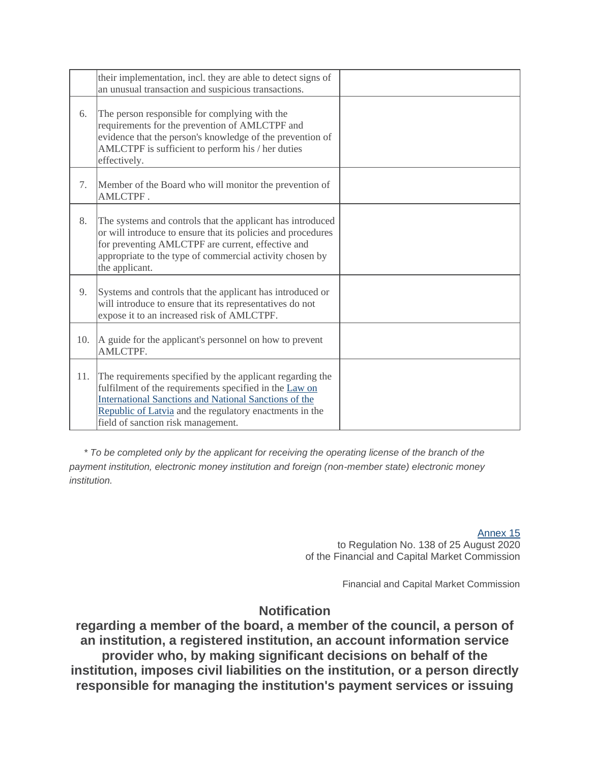|     | their implementation, incl. they are able to detect signs of<br>an unusual transaction and suspicious transactions.                                                                                                                                                                  |  |
|-----|--------------------------------------------------------------------------------------------------------------------------------------------------------------------------------------------------------------------------------------------------------------------------------------|--|
| 6.  | The person responsible for complying with the<br>requirements for the prevention of AMLCTPF and<br>evidence that the person's knowledge of the prevention of<br>AMLCTPF is sufficient to perform his / her duties<br>effectively.                                                    |  |
| 7.  | Member of the Board who will monitor the prevention of<br>AMLCTPF.                                                                                                                                                                                                                   |  |
| 8.  | The systems and controls that the applicant has introduced<br>or will introduce to ensure that its policies and procedures<br>for preventing AMLCTPF are current, effective and<br>appropriate to the type of commercial activity chosen by<br>the applicant.                        |  |
| 9.  | Systems and controls that the applicant has introduced or<br>will introduce to ensure that its representatives do not<br>expose it to an increased risk of AMLCTPF.                                                                                                                  |  |
| 10. | A guide for the applicant's personnel on how to prevent<br><b>AMLCTPF.</b>                                                                                                                                                                                                           |  |
| 11. | The requirements specified by the applicant regarding the<br>fulfilment of the requirements specified in the Law on<br><b>International Sanctions and National Sanctions of the</b><br>Republic of Latvia and the regulatory enactments in the<br>field of sanction risk management. |  |

*\* To be completed only by the applicant for receiving the operating license of the branch of the payment institution, electronic money institution and foreign (non-member state) electronic money institution.*

> [Annex 15](https://m.likumi.lv/wwwraksti/2020/171/BILDES/FKTK138/P15.DOCX) to Regulation No. 138 of 25 August 2020 of the Financial and Capital Market Commission

> > Financial and Capital Market Commission

## **Notification**

**regarding a member of the board, a member of the council, a person of an institution, a registered institution, an account information service provider who, by making significant decisions on behalf of the institution, imposes civil liabilities on the institution, or a person directly responsible for managing the institution's payment services or issuing**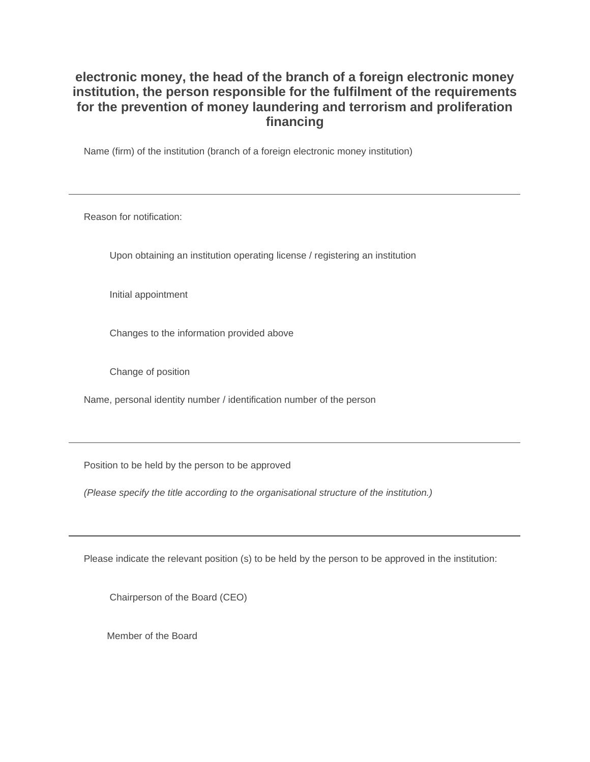## **electronic money, the head of the branch of a foreign electronic money institution, the person responsible for the fulfilment of the requirements for the prevention of money laundering and terrorism and proliferation financing**

Name (firm) of the institution (branch of a foreign electronic money institution)

Reason for notification:

Upon obtaining an institution operating license / registering an institution

Initial appointment

Changes to the information provided above

Change of position

Name, personal identity number / identification number of the person

Position to be held by the person to be approved

*(Please specify the title according to the organisational structure of the institution.)*

Please indicate the relevant position (s) to be held by the person to be approved in the institution:

Chairperson of the Board (CEO)

Member of the Board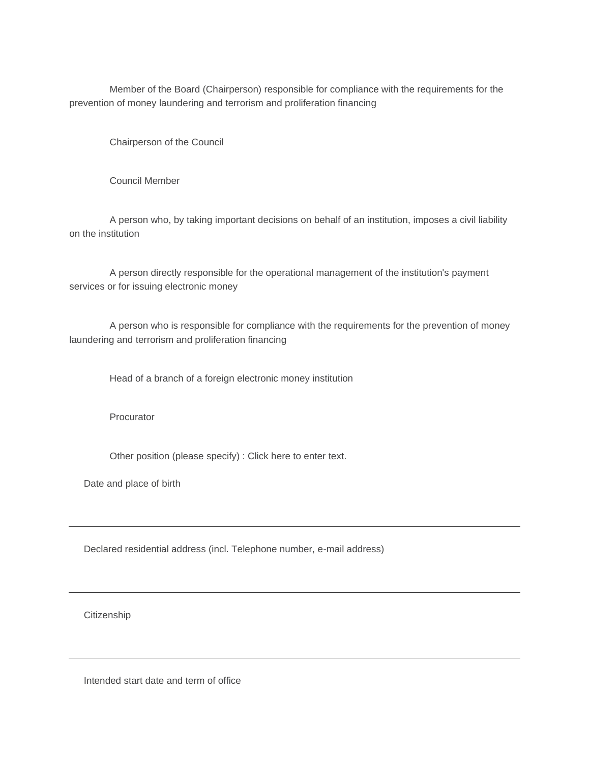Member of the Board (Chairperson) responsible for compliance with the requirements for the prevention of money laundering and terrorism and proliferation financing

Chairperson of the Council

Council Member

A person who, by taking important decisions on behalf of an institution, imposes a civil liability on the institution

A person directly responsible for the operational management of the institution's payment services or for issuing electronic money

A person who is responsible for compliance with the requirements for the prevention of money laundering and terrorism and proliferation financing

Head of a branch of a foreign electronic money institution

**Procurator** 

Other position (please specify) : Click here to enter text.

Date and place of birth

Declared residential address (incl. Telephone number, e-mail address)

**Citizenship** 

Intended start date and term of office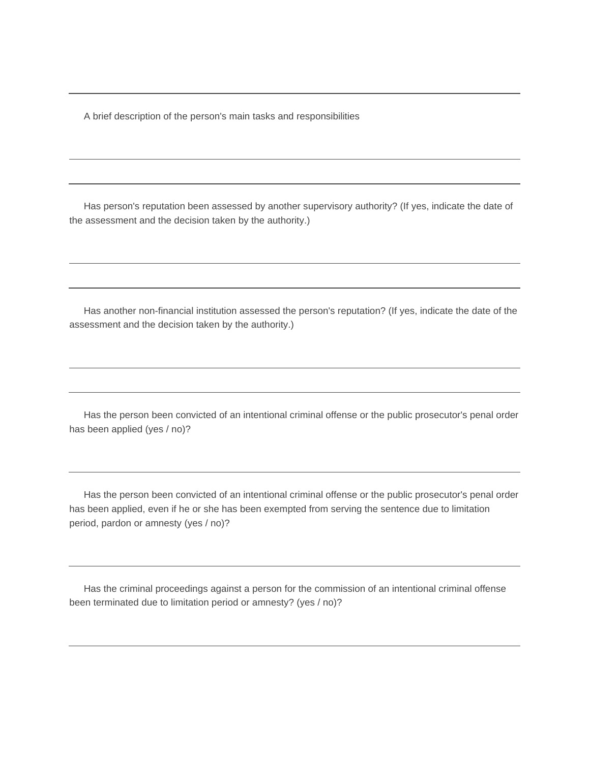A brief description of the person's main tasks and responsibilities

Has person's reputation been assessed by another supervisory authority? (If yes, indicate the date of the assessment and the decision taken by the authority.)

Has another non-financial institution assessed the person's reputation? (If yes, indicate the date of the assessment and the decision taken by the authority.)

Has the person been convicted of an intentional criminal offense or the public prosecutor's penal order has been applied (yes / no)?

Has the person been convicted of an intentional criminal offense or the public prosecutor's penal order has been applied, even if he or she has been exempted from serving the sentence due to limitation period, pardon or amnesty (yes / no)?

Has the criminal proceedings against a person for the commission of an intentional criminal offense been terminated due to limitation period or amnesty? (yes / no)?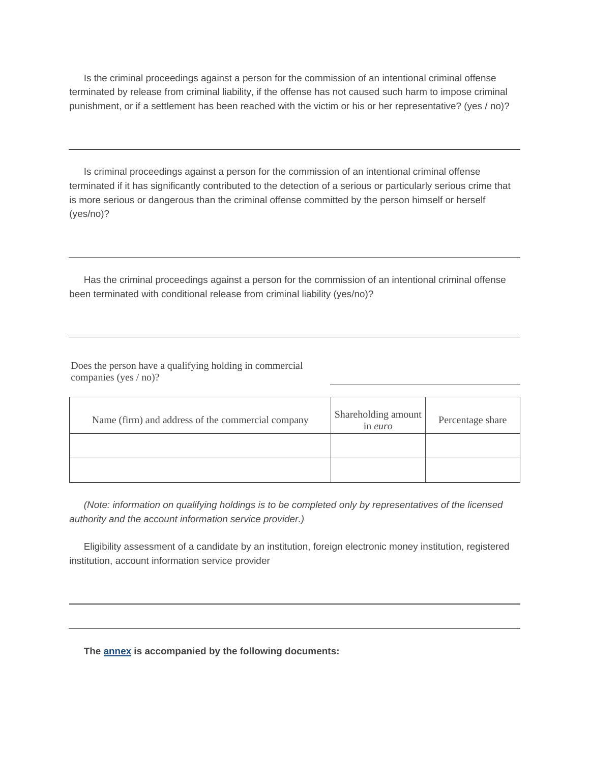Is the criminal proceedings against a person for the commission of an intentional criminal offense terminated by release from criminal liability, if the offense has not caused such harm to impose criminal punishment, or if a settlement has been reached with the victim or his or her representative? (yes / no)?

Is criminal proceedings against a person for the commission of an intentional criminal offense terminated if it has significantly contributed to the detection of a serious or particularly serious crime that is more serious or dangerous than the criminal offense committed by the person himself or herself (yes/no)?

Has the criminal proceedings against a person for the commission of an intentional criminal offense been terminated with conditional release from criminal liability (yes/no)?

Does the person have a qualifying holding in commercial companies (yes / no)?

| Name (firm) and address of the commercial company | Shareholding amount<br>in <i>euro</i> | Percentage share |
|---------------------------------------------------|---------------------------------------|------------------|
|                                                   |                                       |                  |
|                                                   |                                       |                  |

*(Note: information on qualifying holdings is to be completed only by representatives of the licensed authority and the account information service provider.)*

Eligibility assessment of a candidate by an institution, foreign electronic money institution, registered institution, account information service provider

**The [annex](https://m.likumi.lv/ta/id/317099#piel0) is accompanied by the following documents:**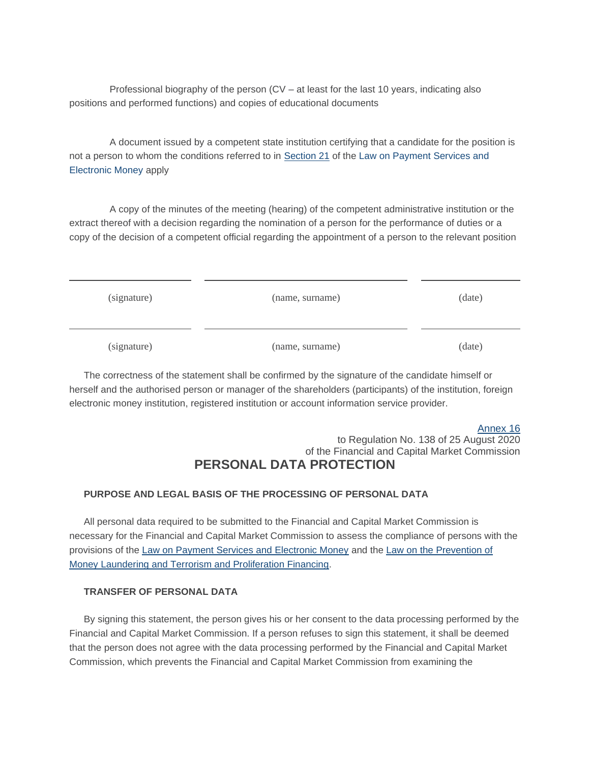Professional biography of the person (CV – at least for the last 10 years, indicating also positions and performed functions) and copies of educational documents

A document issued by a competent state institution certifying that a candidate for the position is not a person to whom the conditions referred to in [Section 21](https://m.likumi.lv/ta/id/206634-maksajumu-pakalpojumu-un-elektroniskas-naudas-likums#p21) of the Law on Payment Services and [Electronic Money](https://m.likumi.lv/ta/id/206634-maksajumu-pakalpojumu-un-elektroniskas-naudas-likums) apply

A copy of the minutes of the meeting (hearing) of the competent administrative institution or the extract thereof with a decision regarding the nomination of a person for the performance of duties or a copy of the decision of a competent official regarding the appointment of a person to the relevant position

| (signature) | (name, surname) | (date) |
|-------------|-----------------|--------|
| (signature) | (name, surname) | (date) |

The correctness of the statement shall be confirmed by the signature of the candidate himself or herself and the authorised person or manager of the shareholders (participants) of the institution, foreign electronic money institution, registered institution or account information service provider.

#### [Annex 16](https://m.likumi.lv/wwwraksti/2020/171/BILDES/FKTK138/P16.DOCX) to Regulation No. 138 of 25 August 2020 of the Financial and Capital Market Commission **PERSONAL DATA PROTECTION**

### **PURPOSE AND LEGAL BASIS OF THE PROCESSING OF PERSONAL DATA**

All personal data required to be submitted to the Financial and Capital Market Commission is necessary for the Financial and Capital Market Commission to assess the compliance of persons with the provisions of the [Law on Payment Services and Electronic Money](https://m.likumi.lv/ta/id/206634-maksajumu-pakalpojumu-un-elektroniskas-naudas-likums) and the [Law on the Prevention of](https://m.likumi.lv/ta/id/178987-noziedzigi-iegutu-lidzeklu-legalizacijas-un-terorisma-un-proliferacijas-finansesanas-noversanas-likums)  [Money Laundering and Terrorism and Proliferation Financing.](https://m.likumi.lv/ta/id/178987-noziedzigi-iegutu-lidzeklu-legalizacijas-un-terorisma-un-proliferacijas-finansesanas-noversanas-likums)

#### **TRANSFER OF PERSONAL DATA**

By signing this statement, the person gives his or her consent to the data processing performed by the Financial and Capital Market Commission. If a person refuses to sign this statement, it shall be deemed that the person does not agree with the data processing performed by the Financial and Capital Market Commission, which prevents the Financial and Capital Market Commission from examining the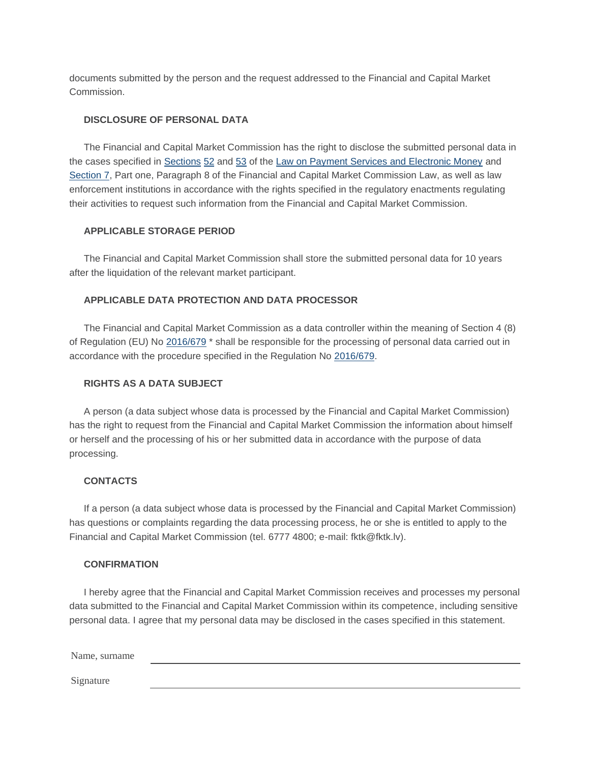documents submitted by the person and the request addressed to the Financial and Capital Market Commission.

#### **DISCLOSURE OF PERSONAL DATA**

The Financial and Capital Market Commission has the right to disclose the submitted personal data in the cases specified in [Sections](https://m.likumi.lv/ta/id/206634-maksajumu-pakalpojumu-un-elektroniskas-naudas-likums#p53) [52](https://m.likumi.lv/ta/id/206634-maksajumu-pakalpojumu-un-elektroniskas-naudas-likums#p52) and [53](https://m.likumi.lv/ta/id/206634-maksajumu-pakalpojumu-un-elektroniskas-naudas-likums#p53) of the [Law on Payment Services and Electronic Money](https://m.likumi.lv/ta/id/206634-maksajumu-pakalpojumu-un-elektroniskas-naudas-likums) and [Section 7,](https://m.likumi.lv/ta/id/206634-maksajumu-pakalpojumu-un-elektroniskas-naudas-likums#p7) Part one, Paragraph 8 of the Financial and Capital Market Commission Law, as well as law enforcement institutions in accordance with the rights specified in the regulatory enactments regulating their activities to request such information from the Financial and Capital Market Commission.

#### **APPLICABLE STORAGE PERIOD**

The Financial and Capital Market Commission shall store the submitted personal data for 10 years after the liquidation of the relevant market participant.

#### **APPLICABLE DATA PROTECTION AND DATA PROCESSOR**

The Financial and Capital Market Commission as a data controller within the meaning of Section 4 (8) of Regulation (EU) No [2016/679](http://eur-lex.europa.eu/eli/reg/2016/679/oj/?locale=LV) \* shall be responsible for the processing of personal data carried out in accordance with the procedure specified in the Regulation No [2016/679.](http://eur-lex.europa.eu/eli/reg/2016/679/oj/?locale=LV)

#### **RIGHTS AS A DATA SUBJECT**

A person (a data subject whose data is processed by the Financial and Capital Market Commission) has the right to request from the Financial and Capital Market Commission the information about himself or herself and the processing of his or her submitted data in accordance with the purpose of data processing.

#### **CONTACTS**

If a person (a data subject whose data is processed by the Financial and Capital Market Commission) has questions or complaints regarding the data processing process, he or she is entitled to apply to the Financial and Capital Market Commission (tel. 6777 4800; e-mail: fktk@fktk.lv).

#### **CONFIRMATION**

I hereby agree that the Financial and Capital Market Commission receives and processes my personal data submitted to the Financial and Capital Market Commission within its competence, including sensitive personal data. I agree that my personal data may be disclosed in the cases specified in this statement.

Name, surname Signature